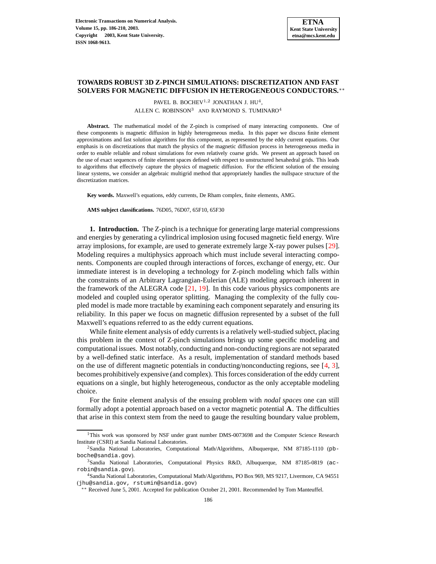# **TOWARDS ROBUST 3D Z-PINCH SIMULATIONS: DISCRETIZATION AND FAST SOLVERS FOR MAGNETIC DIFFUSION IN HETEROGENEOUS CONDUCTORS.**∗∗

PAVEL B. BOCHEV<sup>1,2</sup> JONATHAN J. HU<sup>4</sup>, ALLEN C. ROBINSON<sup>3</sup> AND RAYMOND S. TUMINARO<sup>4</sup>

**Abstract.** The mathematical model of the Z-pinch is comprised of many interacting components. One of these components is magnetic diffusion in highly heterogeneous media. In this paper we discuss finite element approximations and fast solution algorithms for this component, as represented by the eddy current equations. Our emphasis is on discretizations that match the physics of the magnetic diffusion process in heterogeneous media in order to enable reliable and robust simulations for even relatively coarse grids. We present an approach based on the use of exact sequences of finite element spaces defined with respect to unstructured hexahedral grids. This leads to algorithms that effectively capture the physics of magnetic diffusion. For the efficient solution of the ensuing linear systems, we consider an algebraic multigrid method that appropriately handles the nullspace structure of the discretization matrices.

**Key words.** Maxwell's equations, eddy currents, De Rham complex, finite elements, AMG.

**AMS subject classifications.** 76D05, 76D07, 65F10, 65F30

<span id="page-0-0"></span>**1. Introduction.** The Z-pinch is a technique for generating large material compressions and energies by generating a cylindrical implosion using focused magnetic field energy. Wire array implosions, for example, are used to generate extremely large X-ray power pulses [\[29\]](#page-24-0). Modeling requires a multiphysics approach which must include several interacting components. Components are coupled through interactions of forces, exchange of energy, etc. Our immediate interest is in developing a technology for Z-pinch modeling which falls within the constraints of an Arbitrary Lagrangian-Eulerian (ALE) modeling approach inherent in the framework of the ALEGRA code [\[21,](#page-23-0) [19\]](#page-23-1). In this code various physics components are modeled and coupled using operator splitting. Managing the complexity of the fully coupled model is made more tractable by examining each component separately and ensuring its reliability. In this paper we focus on magnetic diffusion represented by a subset of the full Maxwell's equations referred to as the eddy current equations.

While finite element analysis of eddy currents is a relatively well-studied subject, placing this problem in the context of Z-pinch simulations brings up some specific modeling and computational issues. Most notably, conducting and non-conducting regions are not separated by a well-defined static interface. As a result, implementation of standard methods based on the use of different magnetic potentials in conducting/nonconducting regions, see [\[4,](#page-23-2) [3\]](#page-23-3), becomes prohibitively expensive (and complex). This forces consideration of the eddy current equations on a single, but highly heterogeneous, conductor as the only acceptable modeling choice.

For the finite element analysis of the ensuing problem with *nodal spaces* one can still formally adopt a potential approach based on a vector magnetic potential A. The difficulties that arise in this context stem from the need to gauge the resulting boundary value problem,

<sup>&</sup>lt;sup>1</sup>This work was sponsored by NSF under grant number DMS-0073698 and the Computer Science Research Institute (CSRI) at Sandia National Laboratories.

<sup>2</sup>Sandia National Laboratories, Computational Math/Algorithms, Albuquerque, NM 87185-1110 (pbboche@sandia.gov).

<sup>3</sup>Sandia National Laboratories, Computational Physics R&D, Albuquerque, NM 87185-0819 (acrobin@sandia.gov).

<sup>4</sup>Sandia National Laboratories, Computational Math/Algorithms, PO Box 969, MS 9217, Livermore, CA 94551 (jhu@sandia.gov, rstumin@sandia.gov)

<sup>∗∗</sup> Received June 5, 2001. Accepted for publication October 21, 2001. Recommended by Tom Manteuffel.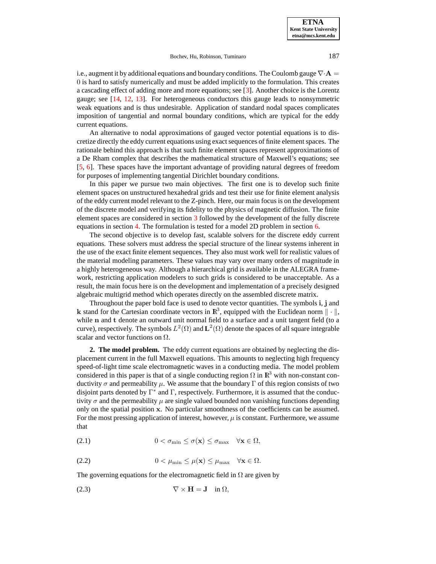**ETNA Kent State University etna@mcs.kent.edu**

Bochev, Hu, Robinson, Tuminaro 187

i.e., augment it by additional equations and boundary conditions. The Coulomb gauge  $\nabla \cdot \mathbf{A} =$ 0 is hard to satisfy numerically and must be added implicitly to the formulation. This creates a cascading effect of adding more and more equations; see [\[3\]](#page-23-3). Another choice is the Lorentz gauge; see [\[14,](#page-23-4) [12,](#page-23-5) [13\]](#page-23-6). For heterogeneous conductors this gauge leads to nonsymmetric weak equations and is thus undesirable. Application of standard nodal spaces complicates imposition of tangential and normal boundary conditions, which are typical for the eddy current equations.

An alternative to nodal approximations of gauged vector potential equations is to discretize directly the eddy current equations using exact sequences of finite element spaces. The rationale behind this approach is that such finite element spaces represent approximations of a De Rham complex that describes the mathematical structure of Maxwell's equations; see [\[5,](#page-23-7) [6\]](#page-23-8). These spaces have the important advantage of providing natural degrees of freedom for purposes of implementing tangential Dirichlet boundary conditions.

In this paper we pursue two main objectives. The first one is to develop such finite element spaces on unstructured hexahedral grids and test their use for finite element analysis of the eddy current model relevant to the Z-pinch. Here, our main focus is on the development of the discrete model and verifying its fidelity to the physics of magnetic diffusion. The finite element spaces are considered in section [3](#page-2-0) followed by the development of the fully discrete equations in section [4.](#page-8-0) The formulation is tested for a model 2D problem in section [6.](#page-17-0)

The second objective is to develop fast, scalable solvers for the discrete eddy current equations. These solvers must address the special structure of the linear systems inherent in the use of the exact finite element sequences. They also must work well for realistic values of the material modeling parameters. These values may vary over many orders of magnitude in a highly heterogeneous way. Although a hierarchical grid is available in the ALEGRA framework, restricting application modelers to such grids is considered to be unacceptable. As a result, the main focus here is on the development and implementation of a precisely designed algebraic multigrid method which operates directly on the assembled discrete matrix.

Throughout the paper bold face is used to denote vector quantities. The symbols i, j and k stand for the Cartesian coordinate vectors in  $\mathbb{R}^3$ , equipped with the Euclidean norm  $\|\cdot\|$ , while **n** and **t** denote an outward unit normal field to a surface and a unit tangent field (to a curve), respectively. The symbols  $L^2(\Omega)$  and  $\mathbf{L}^2(\Omega)$  denote the spaces of all square integrable scalar and vector functions on  $\Omega$ .

**2. The model problem.** The eddy current equations are obtained by neglecting the displacement current in the full Maxwell equations. This amounts to neglecting high frequency speed-of-light time scale electromagnetic waves in a conducting media. The model problem considered in this paper is that of a single conducting region  $\Omega$  in  $\mathbb{R}^3$  with non-constant conductivity  $\sigma$  and permeability  $\mu$ . We assume that the boundary Γ of this region consists of two disjoint parts denoted by  $\Gamma^*$  and  $\Gamma$ , respectively. Furthermore, it is assumed that the conductivity  $\sigma$  and the permeability  $\mu$  are single valued bounded non vanishing functions depending only on the spatial position x. No particular smoothness of the coefficients can be assumed. For the most pressing application of interest, however,  $\mu$  is constant. Furthermore, we assume that

$$
(2.1) \t\t 0 < \sigma_{\min} \le \sigma(\mathbf{x}) \le \sigma_{\max} \quad \forall \mathbf{x} \in \Omega,
$$

$$
(2.2) \t\t 0 < \mu_{\min} \leq \mu(\mathbf{x}) \leq \mu_{\max} \quad \forall \mathbf{x} \in \Omega.
$$

The governing equations for the electromagnetic field in  $\Omega$  are given by

<span id="page-1-0"></span>
$$
\nabla \times \mathbf{H} = \mathbf{J} \quad \text{in } \Omega,
$$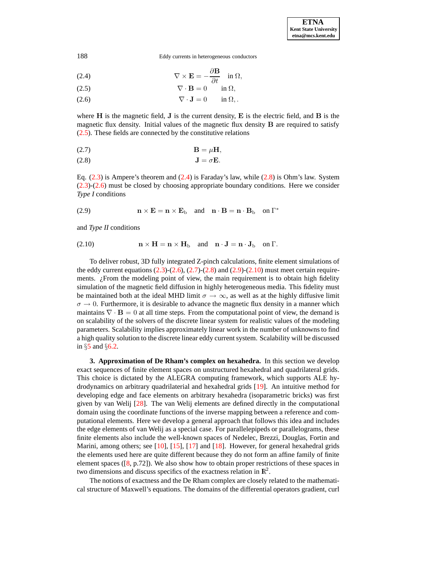(2.4) 
$$
\nabla \times \mathbf{E} = -\frac{\partial \mathbf{B}}{\partial t} \quad \text{in } \Omega,
$$

$$
\nabla \cdot \mathbf{B} = 0 \quad \text{in } \Omega,
$$

$$
\nabla \cdot \mathbf{J} = 0 \quad \text{in } \Omega,
$$

where  $H$  is the magnetic field,  $J$  is the current density,  $E$  is the electric field, and  $B$  is the magnetic flux density. Initial values of the magnetic flux density B are required to satisfy [\(2.5\)](#page-1-0). These fields are connected by the constitutive relations

<span id="page-2-1"></span>
$$
B = \mu H,
$$

$$
J = \sigma E.
$$

Eq.  $(2.3)$  is Ampere's theorem and  $(2.4)$  is Faraday's law, while  $(2.8)$  is Ohm's law. System [\(2.3\)](#page-1-0)-[\(2.6\)](#page-1-0) must be closed by choosing appropriate boundary conditions. Here we consider *Type I* conditions

<span id="page-2-2"></span>(2.9) 
$$
\mathbf{n} \times \mathbf{E} = \mathbf{n} \times \mathbf{E}_{\text{b}} \quad \text{and} \quad \mathbf{n} \cdot \mathbf{B} = \mathbf{n} \cdot \mathbf{B}_{\text{b}} \quad \text{on } \Gamma^*
$$

<span id="page-2-3"></span>and *Type II* conditions

(2.10) 
$$
\mathbf{n} \times \mathbf{H} = \mathbf{n} \times \mathbf{H}_{\mathrm{b}} \quad \text{and} \quad \mathbf{n} \cdot \mathbf{J} = \mathbf{n} \cdot \mathbf{J}_{\mathrm{b}} \quad \text{on } \Gamma.
$$

To deliver robust, 3D fully integrated Z-pinch calculations, finite element simulations of the eddy current equations  $(2.3)-(2.6)$  $(2.3)-(2.6)$  $(2.3)-(2.6)$ ,  $(2.7)-(2.8)$  $(2.7)-(2.8)$  $(2.7)-(2.8)$  and  $(2.9)-(2.10)$  $(2.9)-(2.10)$  $(2.9)-(2.10)$  must meet certain requirements.  $\chi$  From the modeling point of view, the main requirement is to obtain high fidelity simulation of the magnetic field diffusion in highly heterogeneous media. This fidelity must be maintained both at the ideal MHD limit  $\sigma \to \infty$ , as well as at the highly diffusive limit  $\sigma \to 0$ . Furthermore, it is desirable to advance the magnetic flux density in a manner which maintains  $\nabla \cdot \mathbf{B} = 0$  at all time steps. From the computational point of view, the demand is on scalability of the solvers of the discrete linear system for realistic values of the modeling parameters. Scalability implies approximately linear work in the number of unknowns to find a high quality solution to the discrete linear eddy current system. Scalability will be discussed in §[5](#page-10-0) and §[6.2.](#page-19-0)

<span id="page-2-0"></span>**3. Approximation of De Rham's complex on hexahedra.** In this section we develop exact sequences of finite element spaces on unstructured hexahedral and quadrilateral grids. This choice is dictated by the ALEGRA computing framework, which supports ALE hydrodynamics on arbitrary quadrilaterial and hexahedral grids [\[19\]](#page-23-1). An intuitive method for developing edge and face elements on arbitrary hexahedra (isoparametric bricks) was first given by van Welij [\[28\]](#page-24-1). The van Welij elements are defined directly in the computational domain using the coordinate functions of the inverse mapping between a reference and computational elements. Here we develop a general approach that follows this idea and includes the edge elements of van Welij as a special case. For parallelepipeds or parallelograms, these finite elements also include the well-known spaces of Nedelec, Brezzi, Douglas, Fortin and Marini, among others; see [\[10\]](#page-23-9), [\[15\]](#page-23-10), [\[17\]](#page-23-11) and [\[18\]](#page-23-12). However, for general hexahedral grids the elements used here are quite different because they do not form an affine family of finite element spaces  $([8, p.72])$  $([8, p.72])$  $([8, p.72])$ . We also show how to obtain proper restrictions of these spaces in two dimensions and discuss specifics of the exactness relation in  $\mathbb{R}^2$ .

The notions of exactness and the De Rham complex are closely related to the mathematical structure of Maxwell's equations. The domains of the differential operators gradient, curl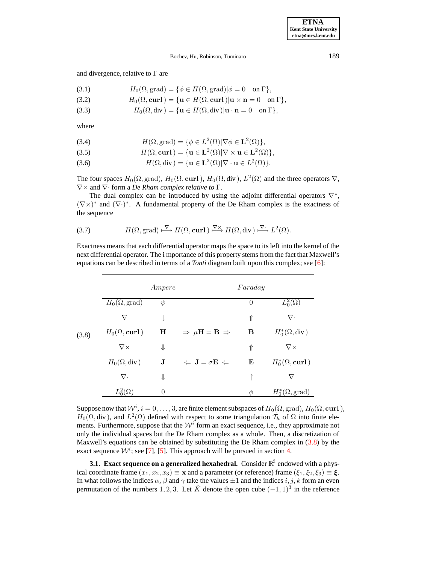and divergence, relative to  $\Gamma$  are

(3.1) 
$$
H_0(\Omega, \text{grad}) = \{ \phi \in H(\Omega, \text{grad}) | \phi = 0 \text{ on } \Gamma \},
$$

(3.2) 
$$
H_0(\Omega,\mathbf{curl})=\{\mathbf{u}\in H(\Omega,\mathbf{curl})|\mathbf{u}\times\mathbf{n}=0\quad\text{on }\Gamma\},
$$

(3.3) 
$$
H_0(\Omega, \text{div}) = \{ \mathbf{u} \in H(\Omega, \text{div}) | \mathbf{u} \cdot \mathbf{n} = 0 \text{ on } \Gamma \},
$$

where

(3.4) 
$$
H(\Omega, \text{grad}) = \{ \phi \in L^2(\Omega) | \nabla \phi \in L^2(\Omega) \},
$$

(3.5) 
$$
H(\Omega, \text{curl}) = \{ \mathbf{u} \in \mathbf{L}^2(\Omega) | \nabla \times \mathbf{u} \in \mathbf{L}^2(\Omega) \},
$$

(3.6)  $H(\Omega, \text{div}) = {\mathbf{u} \in {\mathbf{L}}^2(\Omega) | \nabla \cdot \mathbf{u} \in L^2(\Omega)}$ .

The four spaces  $H_0(\Omega, \text{grad})$ ,  $H_0(\Omega, \text{curl})$ ,  $H_0(\Omega, \text{div})$ ,  $L^2(\Omega)$  and the three operators  $\nabla$ , ∇× and ∇· form a *De Rham complex relative to* Γ.

The dual complex can be introduced by using the adjoint differential operators  $\nabla^*$ ,  $(\nabla \times)^*$  and  $(\nabla \cdot)^*$ . A fundamental property of the De Rham complex is the exactness of the sequence

(3.7) 
$$
H(\Omega, \text{grad}) \xrightarrow{\nabla} H(\Omega, \text{curl}) \xrightarrow{\nabla \times} H(\Omega, \text{div}) \xrightarrow{\nabla} L^2(\Omega).
$$

Exactness means that each differential operator maps the space to its left into the kernel of the next differential operator. The i mportance of this property stems from the fact that Maxwell's equations can be described in terms of a *Tonti* diagram built upon this complex; see [\[6\]](#page-23-8):

<span id="page-3-0"></span>

|       |                             | Ampere      |                                          | Faraday  |                             |
|-------|-----------------------------|-------------|------------------------------------------|----------|-----------------------------|
|       | $H_0(\Omega,\text{grad})$   | $\psi$      |                                          | $\theta$ | $L_0^2(\Omega)$             |
|       | $\nabla$                    |             |                                          | ⇑        | $\nabla \cdot$              |
| (3.8) | $H_0(\Omega,\mathbf{curl})$ | Н           | $\Rightarrow \mu H = B \Rightarrow$      | B        | $H_0^*(\Omega, \text{div})$ |
|       | $\nabla \times$             | ⇓           |                                          | ⇑        | $\nabla \times$             |
|       | $H_0(\Omega, \text{div})$   | $\mathbf J$ | $\Leftarrow$ J = $\sigma$ E $\Leftarrow$ | E        | $H_0^*(\Omega, {\bf curl})$ |
|       | $\nabla$ .                  | ⇓           |                                          |          | ▽                           |
|       | $L_0^2(\Omega)$             | $\theta$    |                                          | Φ        | $H_0^*(\Omega,\text{grad})$ |

Suppose now that  $\mathcal{W}^i$ ,  $i=0,\ldots,3,$  are finite element subspaces of  $H_0(\Omega,\mathrm{grad}),$   $H_0(\Omega,\mathbf{curl}\,),$  $H_0(\Omega, \text{div})$ , and  $L^2(\Omega)$  defined with respect to some triangulation  $\mathcal{T}_h$  of  $\Omega$  into finite elements. Furthermore, suppose that the  $\mathcal{W}^i$  form an exact sequence, i.e., they approximate not only the individual spaces but the De Rham complex as a whole. Then, a discretization of Maxwell's equations can be obtained by substituting the De Rham complex in  $(3.8)$  by the exact sequence  $W^i$ ; see [\[7\]](#page-23-14), [\[5\]](#page-23-7). This approach will be pursued in section [4.](#page-8-0)

**3.1. Exact sequence on a generalized hexahedral.** Consider  $\mathbb{R}^3$  endowed with a physical coordinate frame  $(x_1, x_2, x_3) \equiv \mathbf{x}$  and a parameter (or reference) frame  $(\xi_1, \xi_2, \xi_3) \equiv \boldsymbol{\xi}$ . In what follows the indices  $\alpha$ ,  $\beta$  and  $\gamma$  take the values  $\pm 1$  and the indices  $i, j, k$  form an even permutation of the numbers 1, 2, 3. Let  $\hat{K}$  denote the open cube  $(-1, 1)^3$  in the reference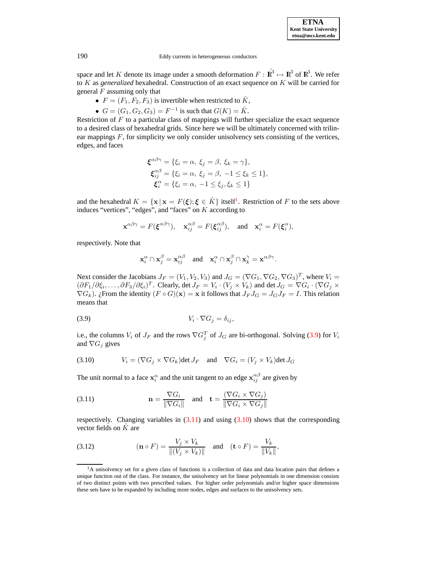space and let K denote its image under a smooth deformation  $F : \hat{\mathbb{R}}^3 \mapsto \mathbb{R}^3$  of  $\mathbb{R}^3$ . We refer to K as *generalized* hexahedral. Construction of an exact sequence on K will be carried for general  $F$  assuming only that

- $F = (F_1, F_2, F_3)$  is invertible when restricted to  $\hat{K}$ ,
- $G = (G_1, G_2, G_3) = F^{-1}$  is such that  $G(K) = \hat{K}$ .

Restriction of  $F$  to a particular class of mappings will further specialize the exact sequence to a desired class of hexahedral grids. Since here we will be ultimately concerned with trilinear mappings F, for simplicity we only consider unisolvency sets consisting of the vertices, edges, and faces

$$
\boldsymbol{\xi}^{\alpha\beta\gamma} = \{\xi_i = \alpha, \ \xi_j = \beta, \ \xi_k = \gamma\},
$$
  

$$
\boldsymbol{\xi}_{ij}^{\alpha\beta} = \{\xi_i = \alpha, \ \xi_j = \beta, \ -1 \le \xi_k \le 1\},
$$
  

$$
\boldsymbol{\xi}_i^{\alpha} = \{\xi_i = \alpha, \ -1 \le \xi_j, \xi_k \le 1\}
$$

and the hexahedral  $K = {\mathbf{x} | \mathbf{x} = F(\boldsymbol{\xi}); \boldsymbol{\xi} \in \hat{K}}$  itself<sup>[1](#page-4-0)</sup>. Restriction of F to the sets above induces "vertices", "edges", and "faces" on K according to

$$
\mathbf{x}^{\alpha\beta\gamma} = F(\boldsymbol{\xi}^{\alpha\beta\gamma}), \quad \mathbf{x}_{ij}^{\alpha\beta} = F(\boldsymbol{\xi}_{ij}^{\alpha\beta}), \quad \text{and} \quad \mathbf{x}_i^{\alpha} = F(\boldsymbol{\xi}_i^{\alpha}),
$$

respectively. Note that

<span id="page-4-1"></span>
$$
\mathbf{x}_i^{\alpha} \cap \mathbf{x}_j^{\beta} = \mathbf{x}_{ij}^{\alpha\beta} \text{ and } \mathbf{x}_i^{\alpha} \cap \mathbf{x}_j^{\beta} \cap \mathbf{x}_k^{\gamma} = \mathbf{x}^{\alpha\beta\gamma}.
$$

Next consider the Jacobians  $J_F = (V_1, V_2, V_3)$  and  $J_G = (\nabla G_1, \nabla G_2, \nabla G_3)^T$ , where  $V_i =$  $(\partial F_1/\partial \xi_i,\ldots,\partial F_3/\partial \xi_i)^T$ . Clearly, det  $J_F = V_i \cdot (V_j \times V_k)$  and det  $J_G = \nabla G_i \cdot (\nabla G_j \times$  $\nabla G_k$ ). ¿From the identity  $(F \circ G)(\mathbf{x}) = \mathbf{x}$  it follows that  $J_F J_G = J_G J_F = I$ . This relation means that

$$
(3.9) \t\t V_i \cdot \nabla G_j = \delta_{ij},
$$

i.e., the columns  $V_i$  of  $J_F$  and the rows  $\nabla G_j^T$  of  $J_G$  are bi-orthogonal. Solving [\(3.9\)](#page-4-1) for  $V_i$ and  $\nabla G_j$  gives

<span id="page-4-3"></span>(3.10) 
$$
V_i = (\nabla G_j \times \nabla G_k) \det J_F \text{ and } \nabla G_i = (V_j \times V_k) \det J_G
$$

The unit normal to a face  $x_i^{\alpha}$  and the unit tangent to an edge  $x_{ij}^{\alpha\beta}$  are given by

<span id="page-4-2"></span>(3.11) 
$$
\mathbf{n} = \frac{\nabla G_i}{\|\nabla G_i\|} \quad \text{and} \quad \mathbf{t} = \frac{(\nabla G_i \times \nabla G_j)}{\|\nabla G_i \times \nabla G_j\|}
$$

respectively. Changing variables in  $(3.11)$  and using  $(3.10)$  shows that the corresponding vector fields on  $\tilde{K}$  are

(3.12) 
$$
(\mathbf{n} \circ F) = \frac{V_j \times V_k}{\|(V_j \times V_k)\|} \quad \text{and} \quad (\mathbf{t} \circ F) = \frac{V_k}{\|V_k\|},
$$

<span id="page-4-0"></span><sup>&</sup>lt;sup>1</sup>A unisolvency set for a given class of functions is a collection of data and data location pairs that defines a unique function out of the class. For instance, the unisolvency set for linear polynomials in one dimension consists of two distinct points with two prescribed values. For higher order polynomials and/or higher space dimensions these sets have to be expanded by including more nodes, edges and surfaces to the unisolvency sets.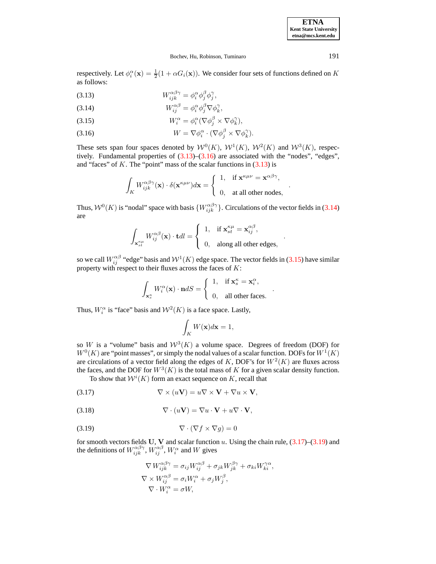.

.

.

### Bochev, Hu, Robinson, Tuminaro 191

respectively. Let  $\phi_i^{\alpha}(\mathbf{x}) = \frac{1}{2}(1 + \alpha G_i(\mathbf{x}))$ . We consider four sets of functions defined on K as follows:

<span id="page-5-0"></span>(3.13) 
$$
W_{ijk}^{\alpha\beta\gamma} = \phi_i^{\alpha} \phi_j^{\beta} \phi_j^{\gamma},
$$

(3.14) 
$$
W_{ij}^{\alpha\beta} = \phi_i^{\alpha} \phi_j^{\beta} \nabla \phi_k^{\gamma},
$$

(3.15) 
$$
W_i^{\alpha} = \phi_i^{\alpha} (\nabla \phi_j^{\beta} \times \nabla \phi_k^{\gamma}),
$$

(3.16) 
$$
W = \nabla \phi_i^{\alpha} \cdot (\nabla \phi_j^{\beta} \times \nabla \phi_k^{\gamma}).
$$

These sets span four spaces denoted by  $W^0(K)$ ,  $W^1(K)$ ,  $W^2(K)$  and  $W^3(K)$ , respectively. Fundamental properties of  $(3.13)$ – $(3.16)$  are associated with the "nodes", "edges", and "faces" of K. The "point" mass of the scalar functions in  $(3.13)$  is

$$
\int_K W_{ijk}^{\alpha\beta\gamma}(\mathbf{x})\cdot \delta(\mathbf{x}^{\kappa\mu\nu})d\mathbf{x} = \begin{cases} 1, & \text{if } \mathbf{x}^{\kappa\mu\nu} = \mathbf{x}^{\alpha\beta\gamma}, \\ 0, & \text{at all other nodes}, \end{cases}
$$

Thus,  $W^0(K)$  is "nodal" space with basis  $\{W_{ijk}^{\alpha\beta\gamma}\}\$ . Circulations of the vector fields in [\(3.14\)](#page-5-0) are

$$
\int_{\mathbf{x}_{st}^{\kappa\mu}} W_{ij}^{\alpha\beta}(\mathbf{x}) \cdot \mathbf{t}dl = \begin{cases} 1, & \text{if } \mathbf{x}_{st}^{\kappa\mu} = \mathbf{x}_{ij}^{\alpha\beta}, \\ 0, & \text{along all other edges}, \end{cases}
$$

so we call  $W_{ij}^{\alpha\beta}$  "edge" basis and  $W^1(K)$  edge space. The vector fields in [\(3.15\)](#page-5-0) have similar property with respect to their fluxes across the faces of  $K$ :

$$
\int_{\mathbf{x}_s^{\kappa}} W_i^{\alpha}(\mathbf{x}) \cdot \mathbf{n} dS = \begin{cases} 1, & \text{if } \mathbf{x}_s^{\kappa} = \mathbf{x}_i^{\alpha}, \\ 0, & \text{all other faces.} \end{cases}
$$

Thus,  $W_i^{\alpha}$  is "face" basis and  $W^2(K)$  is a face space. Lastly,

$$
\int_{K} W(\mathbf{x}) d\mathbf{x} = 1,
$$

so W is a "volume" basis and  $W^3(K)$  a volume space. Degrees of freedom (DOF) for  $W<sup>0</sup>(K)$  are "point masses", or simply the nodal values of a scalar function. DOFs for  $W<sup>1</sup>(K)$ are circulations of a vector field along the edges of K, DOF's for  $W^2(K)$  are fluxes across the faces, and the DOF for  $W^3(K)$  is the total mass of K for a given scalar density function.

<span id="page-5-1"></span>To show that  $\mathcal{W}^i(K)$  form an exact sequence on K, recall that

$$
\nabla \times (u\mathbf{V}) = u\nabla \times \mathbf{V} + \nabla u \times \mathbf{V},
$$

(3.18) 
$$
\nabla \cdot (u\mathbf{V}) = \nabla u \cdot \mathbf{V} + u \nabla \cdot \mathbf{V},
$$

$$
\nabla \cdot (\nabla f \times \nabla g) = 0
$$

for smooth vectors fields U, V and scalar function u. Using the chain rule,  $(3.17)$ – $(3.19)$  and the definitions of  $W_{ijk}^{\alpha\beta\gamma}$ ,  $W_{ij}^{\alpha\beta}$ ,  $W_i^{\alpha}$  and W gives

<span id="page-5-2"></span>
$$
\nabla W_{ijk}^{\alpha\beta\gamma} = \sigma_{ij} W_{ij}^{\alpha\beta} + \sigma_{jk} W_{jk}^{\beta\gamma} + \sigma_{ki} W_{ki}^{\gamma\alpha},
$$
  
\n
$$
\nabla \times W_{ij}^{\alpha\beta} = \sigma_i W_i^{\alpha} + \sigma_j W_j^{\beta},
$$
  
\n
$$
\nabla \cdot W_i^{\alpha} = \sigma W,
$$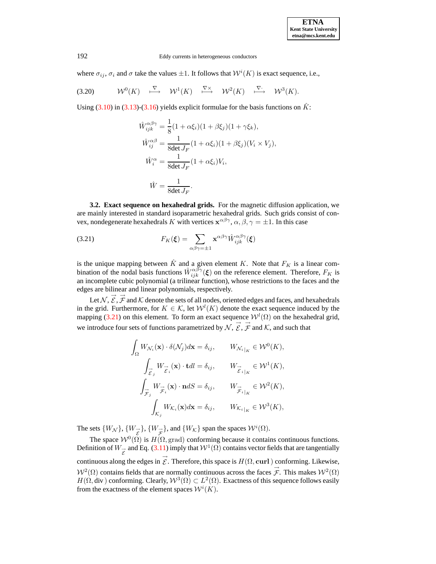where  $\sigma_{ij}$ ,  $\sigma_i$  and  $\sigma$  take the values  $\pm 1$ . It follows that  $W^i(K)$  is exact sequence, i.e.,

$$
(3.20) \t\t W0(K) \t \xrightarrow{\nabla} \t\t W1(K) \t \xrightarrow{\nabla \times} \t\t W2(K) \t \xrightarrow{\nabla \cdot} \t\t W3(K).
$$

Using  $(3.10)$  in  $(3.13)-(3.16)$  $(3.13)-(3.16)$  $(3.13)-(3.16)$  yields explicit formulae for the basis functions on  $\hat{K}$ :

$$
\hat{W}_{ijk}^{\alpha\beta\gamma} = \frac{1}{8}(1 + \alpha \xi_i)(1 + \beta \xi_j)(1 + \gamma \xi_k),
$$
  

$$
\hat{W}_{ij}^{\alpha\beta} = \frac{1}{8 \det J_F}(1 + \alpha \xi_i)(1 + \beta \xi_j)(V_i \times V_j),
$$
  

$$
\hat{W}_i^{\alpha} = \frac{1}{8 \det J_F}(1 + \alpha \xi_i)V_i,
$$
  

$$
\hat{W} = \frac{1}{8 \det J_F}.
$$

**3.2. Exact sequence on hexahedral grids.** For the magnetic diffusion application, we are mainly interested in standard isoparametric hexahedral grids. Such grids consist of convex, nondegenerate hexahedrals K with vertices  $\mathbf{x}^{\alpha\beta\gamma}$ ,  $\alpha, \beta, \gamma = \pm 1$ . In this case

<span id="page-6-0"></span>(3.21) 
$$
F_K(\boldsymbol{\xi}) = \sum_{\alpha\beta\gamma=\pm 1} \mathbf{x}^{\alpha\beta\gamma} \hat{W}_{ijk}^{\alpha\beta\gamma}(\boldsymbol{\xi})
$$

is the unique mapping between  $\hat{K}$  and a given element K. Note that  $F_K$  is a linear combination of the nodal basis functions  $\hat{W}_{ijk}^{\alpha\beta\gamma}(\xi)$  on the reference element. Therefore,  $F_K$  is an incomplete cubic polynomial (a trilinear function), whose restrictions to the faces and the edges are bilinear and linear polynomials, respectively.

Let  $N$ ,  $\overrightarrow{\mathcal{E}}$ ,  $\overrightarrow{\mathcal{F}}$  and  $\mathcal K$  denote the sets of all nodes, oriented edges and faces, and hexahedrals in the grid. Furthermore, for  $K \in \mathcal{K}$ , let  $\mathcal{W}^l(K)$  denote the exact sequence induced by the mapping [\(3.21\)](#page-6-0) on this element. To form an exact sequence  $W^l(\Omega)$  on the hexahedral grid, we introduce four sets of functions parametrized by  $\overrightarrow{\mathcal{N}}, \overrightarrow{\mathcal{E}}, \overrightarrow{\mathcal{F}}$  and  $\overrightarrow{\mathcal{K}}$ , and such that

$$
\int_{\Omega} W_{\mathcal{N}_i}(\mathbf{x}) \cdot \delta(\mathcal{N}_j) d\mathbf{x} = \delta_{ij}, \qquad W_{\mathcal{N}_i|_K} \in \mathcal{W}^0(K),
$$
\n
$$
\int_{\overrightarrow{\mathcal{E}}_j} W_{\overrightarrow{\mathcal{E}}_i}(\mathbf{x}) \cdot \mathbf{t} dl = \delta_{ij}, \qquad W_{\overrightarrow{\mathcal{E}}_i|_K} \in \mathcal{W}^1(K),
$$
\n
$$
\int_{\overrightarrow{\mathcal{F}}_j} W_{\overrightarrow{\mathcal{F}}_i}(\mathbf{x}) \cdot \mathbf{n} dS = \delta_{ij}, \qquad W_{\overrightarrow{\mathcal{F}}_i|_K} \in \mathcal{W}^2(K),
$$
\n
$$
\int_{\mathcal{K}_j} W_{\mathcal{K}_i}(\mathbf{x}) d\mathbf{x} = \delta_{ij}, \qquad W_{\mathcal{K}_i|_K} \in \mathcal{W}^3(K),
$$

The sets  $\{W_N\}$ ,  $\{W_{\vec{\xi}}\}$ ,  $\{W_{\vec{\xi}}\}$ , and  $\{W_K\}$  span the spaces  $\mathcal{W}^i(\Omega)$ .

The space  $W^0(\Omega)$  is  $H(\Omega, \text{grad})$  conforming because it contains continuous functions. Definition of  $W_{\vec{\varepsilon}}$  and Eq. [\(3.11\)](#page-4-2) imply that  $W^1(\Omega)$  contains vector fields that are tangentially continuous along the edges in  $\overrightarrow{g}$ . Therefore, this space is  $H(\Omega, \text{curl})$  conforming. Likewise,  $W^2(\Omega)$  contains fields that are normally continuous across the faces  $\vec{\mathcal{F}}$ . This makes  $W^2(\Omega)$  $H(\Omega, \text{div})$  conforming. Clearly,  $\mathcal{W}^3(\Omega) \subset L^2(\Omega)$ . Exactness of this sequence follows easily from the exactness of the element spaces  $W^{i}(K)$ .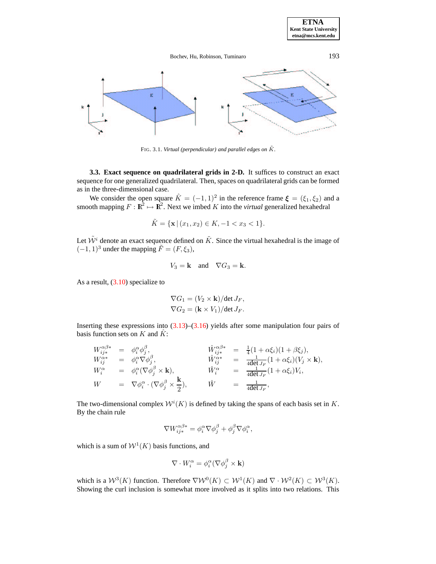**ETNA Kent State University etna@mcs.kent.edu**

# Bochev, Hu, Robinson, Tuminaro 193



<sup>F</sup>IG. 3.1. *Virtual (perpendicular) and parallel edges on* <sup>K</sup>˜ *.*

<span id="page-7-0"></span>**3.3. Exact sequence on quadrilateral grids in 2-D.** It suffices to construct an exact sequence for one generalized quadrilateral. Then, spaces on quadrilateral grids can be formed as in the three-dimensional case.

We consider the open square  $\hat{K} = (-1, 1)^2$  in the reference frame  $\boldsymbol{\xi} = (\xi_1, \xi_2)$  and a smooth mapping  $F : \mathbb{R}^2 \to \mathbb{R}^2$ . Next we imbed K into the *virtual* generalized hexahedral

$$
\tilde{K} = \{ \mathbf{x} \mid (x_1, x_2) \in K, -1 < x_3 < 1 \}.
$$

Let  $\tilde{W}^i$  denote an exact sequence defined on  $\tilde{K}$ . Since the virtual hexahedral is the image of  $(-1, 1)^3$  under the mapping  $\tilde{F} = (F, \xi_3)$ ,

$$
V_3 = \mathbf{k} \quad \text{and} \quad \nabla G_3 = \mathbf{k}.
$$

As a result,  $(3.10)$  specialize to

$$
\nabla G_1 = (V_2 \times \mathbf{k})/\det J_F,
$$
  

$$
\nabla G_2 = (\mathbf{k} \times V_1)/\det J_F.
$$

Inserting these expressions into  $(3.13)$ – $(3.16)$  yields after some manipulation four pairs of basis function sets on K and  $\hat{K}$ :

$$
\begin{array}{rcl}\nW_{ij*}^{\alpha\beta*} & = & \phi_i^{\alpha}\phi_j^{\beta}, & \hat{W}_{ij*}^{\alpha\beta*} & = & \frac{1}{4}(1+\alpha\xi_i)(1+\beta\xi_j), \\
W_{ij}^{\alpha*} & = & \phi_i^{\alpha}\nabla\phi_j^{\beta}, & \hat{W}_{ij}^{\alpha*} & = & \frac{1}{4\det J_F}(1+\alpha\xi_i)(V_j \times \mathbf{k}), \\
W_i^{\alpha} & = & \phi_i^{\alpha}(\nabla\phi_j^{\beta} \times \mathbf{k}), & \hat{W}_i^{\alpha} & = & \frac{1}{4\det J_F}(1+\alpha\xi_i)V_i, \\
W & = & \nabla\phi_i^{\alpha} \cdot (\nabla\phi_j^{\beta} \times \frac{\mathbf{k}}{2}), & \hat{W} & = & \frac{1}{4\det J_F},\n\end{array}
$$

The two-dimensional complex  $W^{i}(K)$  is defined by taking the spans of each basis set in K. By the chain rule

$$
\nabla W_{ij*}^{\alpha\beta*} = \phi_i^{\alpha} \nabla \phi_j^{\beta} + \phi_j^{\beta} \nabla \phi_i^{\alpha},
$$

which is a sum of  $W<sup>1</sup>(K)$  basis functions, and

$$
\nabla \cdot W_i^{\alpha} = \phi_i^{\alpha} (\nabla \phi_j^{\beta} \times \mathbf{k})
$$

which is a  $W^3(K)$  function. Therefore  $\nabla W^0(K) \subset W^1(K)$  and  $\nabla \cdot W^2(K) \subset W^3(K)$ . Showing the curl inclusion is somewhat more involved as it splits into two relations. This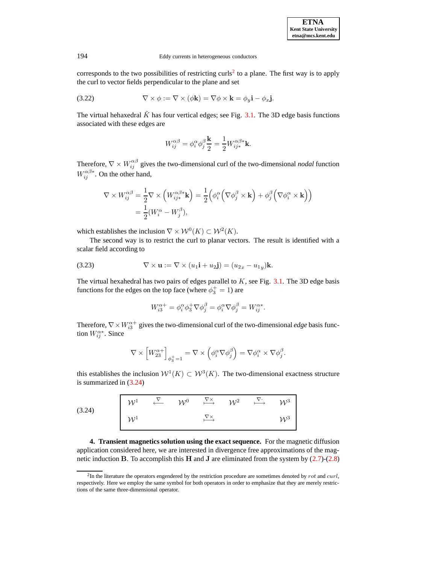corresponds to the two possibilities of restricting curls<sup>[2](#page-8-1)</sup> to a plane. The first way is to apply the curl to vector fields perpendicular to the plane and set

(3.22) 
$$
\nabla \times \phi := \nabla \times (\phi \mathbf{k}) = \nabla \phi \times \mathbf{k} = \phi_y \mathbf{i} - \phi_x \mathbf{j}.
$$

The virtual hehaxedral  $\tilde{K}$  has four vertical edges; see Fig. [3.1.](#page-18-0) The 3D edge basis functions associated with these edges are

$$
W_{ij}^{\alpha\beta}=\phi_{i}^{\alpha}\phi_{j}^{\beta}\frac{\mathbf{k}}{2}=\frac{1}{2}W_{ij\ast}^{\alpha\beta\ast}\mathbf{k}.
$$

Therefore,  $\nabla \times W_{ij}^{\alpha\beta}$  gives the two-dimensional curl of the two-dimensional *nodal* function  $W_{ij}^{\alpha\beta*}$ . On the other hand,

$$
\nabla \times W_{ij}^{\alpha\beta} = \frac{1}{2} \nabla \times \left( W_{ij*}^{\alpha\beta*} \mathbf{k} \right) = \frac{1}{2} \left( \phi_i^{\alpha} \left( \nabla \phi_j^{\beta} \times \mathbf{k} \right) + \phi_j^{\beta} \left( \nabla \phi_i^{\alpha} \times \mathbf{k} \right) \right)
$$
  
=  $\frac{1}{2} (W_i^{\alpha} - W_j^{\beta}),$ 

which establishes the inclusion  $\nabla \times \mathcal{W}^0(K) \subset \mathcal{W}^2(K)$ .

The second way is to restrict the curl to planar vectors. The result is identified with a scalar field according to

(3.23) 
$$
\nabla \times \mathbf{u} := \nabla \times (u_1 \mathbf{i} + u_2 \mathbf{j}) = (u_{2x} - u_{1y})\mathbf{k}.
$$

The virtual hexahedral has two pairs of edges parallel to  $K$ , see Fig. [3.1.](#page-18-0) The 3D edge basis functions for the edges on the top face (where  $\phi_3^+=1$ ) are

$$
W_{i3}^{\alpha+}=\phi_i^\alpha\phi_j^+\nabla\phi_j^\beta=\phi_i^\alpha\nabla\phi_j^\beta=W_{ij}^{\alpha*}.
$$

Therefore,  $\nabla \times W^{\alpha+}_{i3}$  gives the two-dimensional curl of the two-dimensional *edge* basis function  $W_{ij}^{\alpha*}$ . Since

$$
\nabla \times \left[W_{23}^{\alpha+}\right]_{\phi_3^+=1} = \nabla \times \left(\phi_i^{\alpha} \nabla \phi_j^{\beta}\right) = \nabla \phi_i^{\alpha} \times \nabla \phi_j^{\beta}.
$$

this establishes the inclusion  $W^1(K) \subset W^3(K)$ . The two-dimensional exactness structure is summarized in [\(3.24\)](#page-8-2)

<span id="page-8-2"></span>

| (3.24) |                       |  |  | $W^1$ $\stackrel{\nabla}{\longleftarrow}$ $\mathcal{W}^0$ $\stackrel{\nabla \times}{\longmapsto}$ $\mathcal{W}^2$ $\stackrel{\nabla}{\longmapsto}$ $\mathcal{W}^3$ |                 |
|--------|-----------------------|--|--|--------------------------------------------------------------------------------------------------------------------------------------------------------------------|-----------------|
|        | $\big  \mathcal{W}^1$ |  |  |                                                                                                                                                                    | $\mathcal{W}^3$ |

<span id="page-8-0"></span>**4. Transient magnetics solution using the exact sequence.** For the magnetic diffusion application considered here, we are interested in divergence free approximations of the magnetic induction B. To accomplish this H and J are eliminated from the system by  $(2.7)-(2.8)$  $(2.7)-(2.8)$  $(2.7)-(2.8)$ 

<span id="page-8-1"></span> ${}^{2}$ In the literature the operators engendered by the restriction procedure are sometimes denoted by rot and curl, respectively. Here we employ the same symbol for both operators in order to emphasize that they are merely restrictions of the same three-dimensional operator.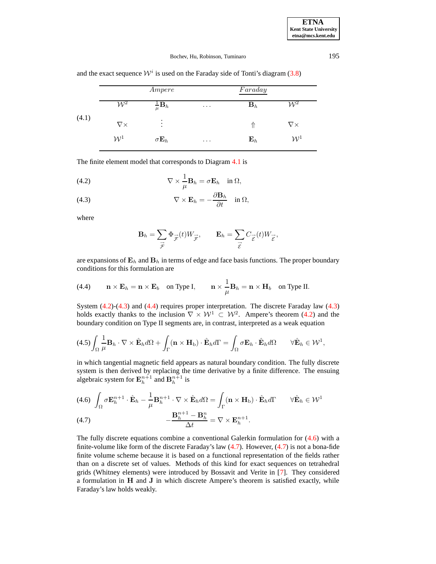<span id="page-9-0"></span>Ampere Faraday  $\mathcal{W}^2$  $\frac{1}{\mu} \mathbf{B}_h$  ${\bf B}_h$  ...  ${\bf B}_h$   ${\cal W}^2$ ∇× . .  $\hat{\mathbb{C}}$  . The  $\mathbb{C}$   $\uparrow$   $\mathbb{C}$   $\mathbb{C}$   $\uparrow$   $\mathbb{C}$   $\uparrow$   $\mathbb{C}$   $\uparrow$   $\mathbb{C}$   $\uparrow$   $\uparrow$   $\mathbb{C}$   $\uparrow$   $\uparrow$   $\uparrow$   $\uparrow$   $\uparrow$   $\uparrow$   $\uparrow$   $\uparrow$   $\uparrow$   $\uparrow$   $\uparrow$   $\uparrow$   $\uparrow$   $\uparrow$   $\uparrow$   $\uparrow$   $\uparrow$   $\up$  $\mathcal{W}^1$   $\sigma \mathbf{E}_h$  ...  $\mathbf{E}_h$   $\mathcal{W}^1$ (4.1)

and the exact sequence  $W^i$  is used on the Faraday side of Tonti's diagram [\(3.8\)](#page-3-0)

The finite element model that corresponds to Diagram [4.1](#page-9-0) is

<span id="page-9-1"></span>(4.2) 
$$
\nabla \times \frac{1}{\mu} \mathbf{B}_h = \sigma \mathbf{E}_h \quad \text{in } \Omega,
$$

(4.3) 
$$
\nabla \times \mathbf{E}_h = -\frac{\partial \mathbf{B}_h}{\partial t} \quad \text{in } \Omega,
$$

where

$$
\mathbf{B}_h = \sum_{\vec{\mathcal{F}}} \Phi_{\vec{\mathcal{F}}}(t) W_{\vec{\mathcal{F}}}, \qquad \mathbf{E}_h = \sum_{\vec{\mathcal{E}}} C_{\vec{\mathcal{E}}}(t) W_{\vec{\mathcal{E}}},
$$

are expansions of  $\mathbf{E}_h$  and  $\mathbf{B}_h$  in terms of edge and face basis functions. The proper boundary conditions for this formulation are

<span id="page-9-2"></span>(4.4) 
$$
\mathbf{n} \times \mathbf{E}_h = \mathbf{n} \times \mathbf{E}_b
$$
 on Type I,  $\mathbf{n} \times \frac{1}{\mu} \mathbf{B}_h = \mathbf{n} \times \mathbf{H}_b$  on Type II.

System [\(4.2\)](#page-9-1)-[\(4.3\)](#page-9-1) and [\(4.4\)](#page-9-2) requires proper interpretation. The discrete Faraday law [\(4.3\)](#page-9-1) holds exactly thanks to the inclusion  $\nabla \times \mathcal{W}^1 \subset \mathcal{W}^2$ . Ampere's theorem [\(4.2\)](#page-9-1) and the boundary condition on Type II segments are, in contrast, interpreted as a weak equation

$$
(4.5)\int_{\Omega}\frac{1}{\mu}\mathbf{B}_h\cdot\nabla\times\hat{\mathbf{E}}_h d\Omega+\int_{\Gamma}(\mathbf{n}\times\mathbf{H}_b)\cdot\hat{\mathbf{E}}_h d\Gamma=\int_{\Omega}\sigma\mathbf{E}_h\cdot\hat{\mathbf{E}}_h d\Omega\qquad\forall\hat{\mathbf{E}}_h\in\mathcal{W}^1,
$$

in which tangential magnetic field appears as natural boundary condition. The fully discrete system is then derived by replacing the time derivative by a finite difference. The ensuing algebraic system for  $\mathbf{E}_{h}^{n+1}$  and  $\mathbf{B}_{h}^{n+1}$  is

<span id="page-9-3"></span>
$$
(4.6) \int_{\Omega} \sigma \mathbf{E}_{h}^{n+1} \cdot \hat{\mathbf{E}}_{h} - \frac{1}{\mu} \mathbf{B}_{h}^{n+1} \cdot \nabla \times \hat{\mathbf{E}}_{h} d\Omega = \int_{\Gamma} (\mathbf{n} \times \mathbf{H}_{b}) \cdot \hat{\mathbf{E}}_{h} d\Gamma \qquad \forall \hat{\mathbf{E}}_{h} \in \mathcal{W}^{1}
$$

$$
(4.7) \qquad -\frac{\mathbf{B}_{h}^{n+1} - \mathbf{B}_{h}^{n}}{\Delta t} = \nabla \times \mathbf{E}_{h}^{n+1}.
$$

The fully discrete equations combine a conventional Galerkin formulation for [\(4.6\)](#page-9-3) with a finite-volume like form of the discrete Faraday's law  $(4.7)$ . However,  $(4.7)$  is not a bona-fide finite volume scheme because it is based on a functional representation of the fields rather than on a discrete set of values. Methods of this kind for exact sequences on tetrahedral grids (Whitney elements) were introduced by Bossavit and Verite in [\[7\]](#page-23-14). They considered a formulation in H and J in which discrete Ampere's theorem is satisfied exactly, while Faraday's law holds weakly.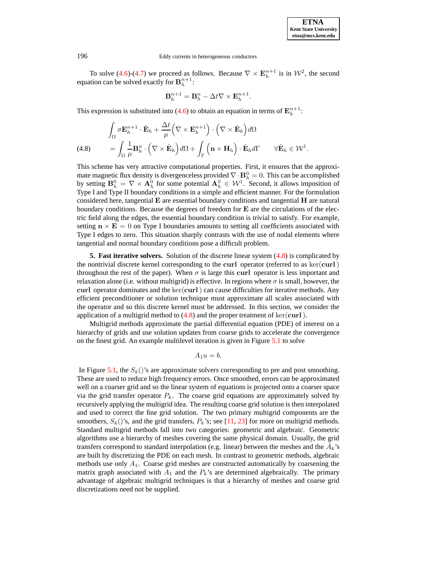To solve [\(4.6\)](#page-9-3)-[\(4.7\)](#page-9-3) we proceed as follows. Because  $\nabla \times \mathbf{E}_{h}^{n+1}$  is in  $\mathcal{W}^2$ , the second equation can be solved exactly for  $\mathbf{B}_{h}^{n+1}$ :

$$
\mathbf{B}_{h}^{n+1} = \mathbf{B}_{h}^{n} - \Delta t \nabla \times \mathbf{E}_{h}^{n+1}.
$$

This expression is substituted into [\(4.6\)](#page-9-3) to obtain an equation in terms of  $\mathbf{E}_{h}^{n+1}$ :

<span id="page-10-1"></span>(4.8) 
$$
\int_{\Omega} \sigma \mathbf{E}_{h}^{n+1} \cdot \hat{\mathbf{E}}_{h} + \frac{\Delta t}{\mu} \Big( \nabla \times \mathbf{E}_{h}^{n+1} \Big) \cdot \Big( \nabla \times \hat{\mathbf{E}}_{h} \Big) d\Omega \n= \int_{\Omega} \frac{1}{\mu} \mathbf{B}_{h}^{n} \cdot \Big( \nabla \times \hat{\mathbf{E}}_{h} \Big) d\Omega + \int_{\Gamma} \Big( \mathbf{n} \times \mathbf{H}_{b} \Big) \cdot \hat{\mathbf{E}}_{h} d\Gamma \qquad \forall \hat{\mathbf{E}}_{h} \in \mathcal{W}^{1}.
$$

This scheme has very attractive computational properties. First, it ensures that the approximate magnetic flux density is divergenceless provided  $\nabla \cdot \mathbf{B}_h^0 = 0$ . This can be accomplished by setting  $B_h^0 = \nabla \times A_h^0$  for some potential  $A_h^0 \in \mathcal{W}^1$ . Second, it allows imposition of Type I and Type II boundary conditions in a simple and efficient manner. For the formulation considered here, tangential  $E$  are essential boundary conditions and tangential  $H$  are natural boundary conditions. Because the degrees of freedom for E are the circulations of the electric field along the edges, the essential boundary condition is trivial to satisfy. For example, setting  $\mathbf{n} \times \mathbf{E} = 0$  on Type I boundaries amounts to setting all coefficients associated with Type I edges to zero. This situation sharply contrasts with the use of nodal elements where tangential and normal boundary conditions pose a difficult problem.

<span id="page-10-0"></span>**5. Fast iterative solvers.** Solution of the discrete linear system [\(4.8\)](#page-10-1) is complicated by the nontrivial discrete kernel corresponding to the curl operator (referred to as  $\ker(curl)$ ) throughout the rest of the paper). When  $\sigma$  is large this curl operator is less important and relaxation alone (i.e. without multigrid) is effective. In regions where  $\sigma$  is small, however, the curl operator dominates and the ker(curl) can cause difficulties for iterative methods. Any efficient preconditioner or solution technique must approximate all scales associated with the operator and so this discrete kernel must be addressed. In this section, we consider the application of a multigrid method to  $(4.8)$  and the proper treatment of ker(curl).

Multigrid methods approximate the partial differential equation (PDE) of interest on a hierarchy of grids and use solution updates from coarse grids to accelerate the convergence on the finest grid. An example multilevel iteration is given in Figure [5.1](#page-18-0) to solve

$$
A_1u=b.
$$

In Figure [5.1,](#page-18-0) the  $S_k()$ 's are approximate solvers corresponding to pre and post smoothing. These are used to reduce high frequency errors. Once smoothed, errors can be approximated well on a coarser grid and so the linear system of equations is projected onto a coarser space via the grid transfer operator  $P_k$ . The coarse grid equations are approximately solved by recursively applying the multigrid idea. The resulting coarse grid solution is then interpolated and used to correct the fine grid solution. The two primary multigrid components are the smoothers,  $S_k()$ 's, and the grid transfers,  $P_k$ 's; see [\[11,](#page-23-15) [23\]](#page-23-16) for more on multigrid methods. Standard multigrid methods fall into two categories: geometric and algebraic. Geometric algorithms use a hierarchy of meshes covering the same physical domain. Usually, the grid transfers correspond to standard interpolation (e.g. linear) between the meshes and the  $\tilde{A}_k$ 's are built by discretizing the PDE on each mesh. In contrast to geometric methods, algebraic methods use only  $A_1$ . Coarse grid meshes are constructed automatically by coarsening the matrix graph associated with  $A_1$  and the  $P_k$ 's are determined algebraically. The primary advantage of algebraic multigrid techniques is that a hierarchy of meshes and coarse grid discretizations need not be supplied.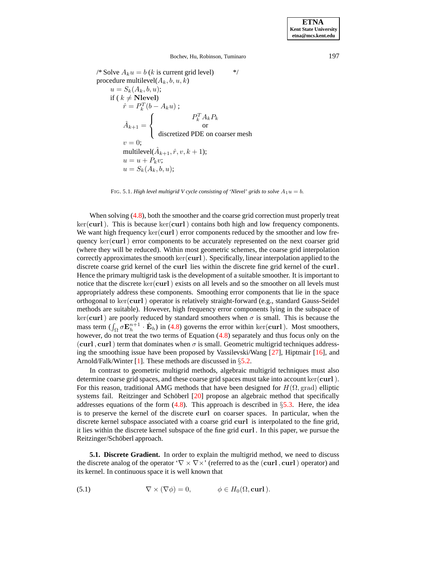/\* Solve  $A_k u = b$  (k is current grid level) \*/ procedure multilevel $(A_k, b, u, k)$  $u = S_k(A_k, b, u);$ if ( $k \neq$  Nlevel)  $\hat{r} = P_k^T(b - A_k u)$ ;  $\hat{A}_{k+1} =$  $\sqrt{ }$ <sup>J</sup>  $\mathcal{L}$  $P_k^T A_k P_k$ or discretized PDE on coarser mesh  $v=0;$ multilevel( $\hat{A}_{k+1}, \hat{r}, v, k+1$ );  $u = u + P_k v;$  $u = S_k(A_k, b, u);$ 

FIG. 5.1. *High level multigrid V cycle consisting of 'Nlevel' grids to solve*  $A_1u = b$ .

When solving  $(4.8)$ , both the smoother and the coarse grid correction must properly treat ker(curl). This is because ker(curl) contains both high and low frequency components. We want high frequency  $\ker(\text{curl})$  error components reduced by the smoother and low frequency ker(curl) error components to be accurately represented on the next coarser grid (where they will be reduced). Within most geometric schemes, the coarse grid interpolation correctly approximates the smooth ker(curl). Specifically, linear interpolation applied to the discrete coarse grid kernel of the curl lies within the discrete fine grid kernel of the curl . Hence the primary multigrid task is the development of a suitable smoother. It is important to notice that the discrete  $\ker(\mathbf{curl})$  exists on all levels and so the smoother on all levels must appropriately address these components. Smoothing error components that lie in the space orthogonal to ker(curl) operator is relatively straight-forward (e.g., standard Gauss-Seidel methods are suitable). However, high frequency error components lying in the subspace of ker(curl) are poorly reduced by standard smoothers when  $\sigma$  is small. This is because the mass term  $(\int_{\Omega} \sigma \mathbf{E}_h^{n+1} \cdot \hat{\mathbf{E}}_h)$  in [\(4.8\)](#page-10-1) governs the error within ker(curl). Most smoothers, however, do not treat the two terms of Equation [\(4.8\)](#page-10-1) separately and thus focus only on the (curl, curl) term that dominates when  $\sigma$  is small. Geometric multigrid techniques addressing the smoothing issue have been proposed by Vassilevski/Wang [\[27\]](#page-24-2), Hiptmair [\[16\]](#page-23-17), and Arnold/Falk/Winter [\[1\]](#page-23-18). These methods are discussed in  $\S 5.2$ .

In contrast to geometric multigrid methods, algebraic multigrid techniques must also determine coarse grid spaces, and these coarse grid spaces must take into account ker(curl). For this reason, traditional AMG methods that have been designed for  $H(\Omega, \text{grad})$  elliptic systems fail. Reitzinger and Schöberl [\[20\]](#page-23-19) propose an algebraic method that specifically addresses equations of the form  $(4.8)$ . This approach is described in §[5.3.](#page-13-0) Here, the idea is to preserve the kernel of the discrete curl on coarser spaces. In particular, when the discrete kernel subspace associated with a coarse grid curl is interpolated to the fine grid, it lies within the discrete kernel subspace of the fine grid curl . In this paper, we pursue the Reitzinger/Schöberl approach.

**5.1. Discrete Gradient.** In order to explain the multigrid method, we need to discuss the discrete analog of the operator ' $\nabla \times \nabla \times'$  (referred to as the (curl, curl) operator) and its kernel. In continuous space it is well known that

<span id="page-11-0"></span>(5.1) 
$$
\nabla \times (\nabla \phi) = 0, \qquad \phi \in H_0(\Omega, \text{curl}).
$$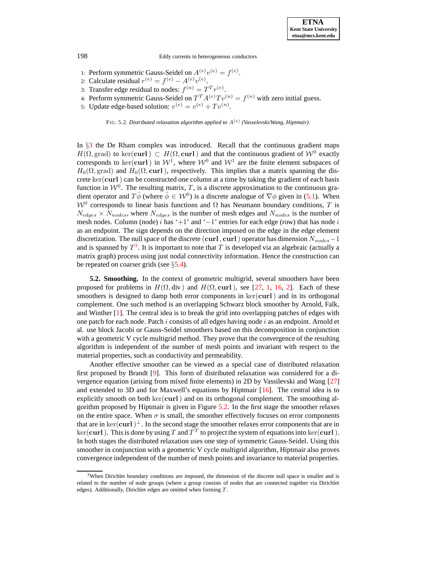- 1: Perform symmetric Gauss-Seidel on  $A^{(e)}v^{(e)} = f^{(e)}$ .
- 2: Calculate residual  $r^{(e)} = f^{(e)} A^{(e)} v^{(e)}$ .
- 3: Transfer edge residual to nodes:  $f^{(n)} = T^T r^{(e)}$ .
- 4: Perform symmetric Gauss-Seidel on  $T^{T} A^{(e)} T v^{(n)} = f^{(n)}$  with zero initial guess.
- 5: Update edge-based solution:  $v^{(e)} = v^{(e)} + Tv^{(n)}$ .

FIG. 5.2. *Distributed relaxation algorithm applied to* A(e) *(Vasselevski/Wang, Hiptmair).*

In §[3](#page-2-0) the De Rham complex was introduced. Recall that the continuous gradient maps  $H(\Omega, \text{grad})$  to ker(curl)  $\subset H(\Omega, \text{curl})$  and that the continuous gradient of  $\mathcal{W}^0$  exactly corresponds to ker(curl) in  $W^1$ , where  $W^0$  and  $W^1$  are the finite element subspaces of  $H_0(\Omega, \text{grad})$  and  $H_0(\Omega, \text{curl})$ , respectively. This implies that a matrix spanning the discrete ker(curl) can be constructed one column at a time by taking the gradient of each basis function in  $W^0$ . The resulting matrix, T, is a discrete approximation to the continuous gradient operator and  $T\hat{\phi}$  (where  $\hat{\phi} \in \mathcal{W}^0$ ) is a discrete analogue of  $\nabla \phi$  given in [\(5.1\)](#page-11-0). When  $W<sup>0</sup>$  corresponds to linear basis functions and  $\Omega$  has Neumann boundary conditions, T is  $N_{edges} \times N_{nodes}$ , where  $N_{edges}$  is the number of mesh edges and  $N_{nodes}$  is the number of mesh nodes. Column (node) i has '+1' and '-1' entries for each edge (row) that has node i as an endpoint. The sign depends on the direction imposed on the edge in the edge element discretization. The null space of the discrete (curl , curl) operator has dimension  $N_{nodes}$  – 1 and is spanned by  $T^3$  $T^3$ . It is important to note that T is developed via an algebraic (actually a matrix graph) process using just nodal connectivity information. Hence the construction can be repeated on coarser grids (see §[5.4\)](#page-15-0).

<span id="page-12-0"></span>**5.2. Smoothing.** In the context of geometric multigrid, several smoothers have been proposed for problems in  $H(\Omega, \text{div})$  and  $H(\Omega, \text{curl})$ , see [\[27,](#page-24-2) [1,](#page-23-18) [16,](#page-23-17) [2\]](#page-23-20). Each of these smoothers is designed to damp both error components in  $\ker(\text{curl})$  and in its orthogonal complement. One such method is an overlapping Schwarz block smoother by Arnold, Falk, and Winther [\[1\]](#page-23-18). The central idea is to break the grid into overlapping patches of edges with one patch for each node. Patch  $i$  consists of all edges having node  $i$  as an endpoint. Arnold et al. use block Jacobi or Gauss-Seidel smoothers based on this decomposition in conjunction with a geometric V cycle multigrid method. They prove that the convergence of the resulting algorithm is independent of the number of mesh points and invariant with respect to the material properties, such as conductivity and permeability.

Another effective smoother can be viewed as a special case of distributed relaxation first proposed by Brandt [\[9\]](#page-23-21). This form of distributed relaxation was considered for a divergence equation (arising from mixed finite elements) in 2D by Vassilevski and Wang [\[27\]](#page-24-2) and extended to 3D and for Maxwell's equations by Hiptmair  $[16]$ . The central idea is to explicitly smooth on both ker(curl) and on its orthogonal complement. The smoothing algorithm proposed by Hiptmair is given in Figure [5.2.](#page-19-1) In the first stage the smoother relaxes on the entire space. When  $\sigma$  is small, the smoother effectively focuses on error components that are in ker(curl)<sup>⊥</sup>. In the second stage the smoother relaxes error components that are in ker(curl). This is done by using T and  $T^T$  to project the system of equations into ker(curl). In both stages the distributed relaxation uses one step of symmetric Gauss-Seidel. Using this smoother in conjunction with a geometric V cycle multigrid algorithm, Hiptmair also proves convergence independent of the number of mesh points and invariance to material properties.

<span id="page-12-1"></span><sup>&</sup>lt;sup>3</sup>When Dirichlet boundary conditions are imposed, the dimension of the discrete null space is smaller and is related to the number of node groups (where a group consists of nodes that are connected together via Dirichlet edges). Additionally, Dirichlet edges are omitted when forming T.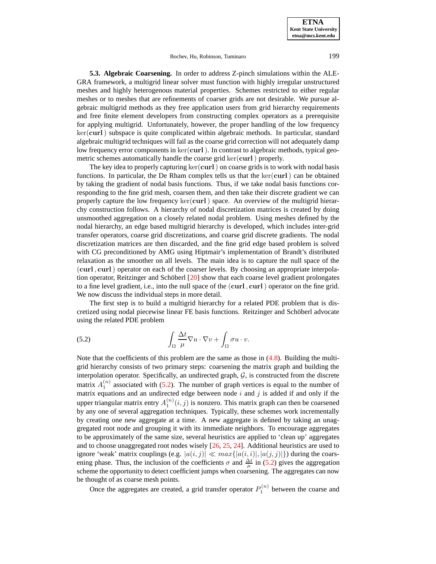<span id="page-13-0"></span>**5.3. Algebraic Coarsening.** In order to address Z-pinch simulations within the ALE-GRA framework, a multigrid linear solver must function with highly irregular unstructured meshes and highly heterogenous material properties. Schemes restricted to either regular meshes or to meshes that are refinements of coarser grids are not desirable. We pursue algebraic multigrid methods as they free application users from grid hierarchy requirements and free finite element developers from constructing complex operators as a prerequisite for applying multigrid. Unfortunately, however, the proper handling of the low frequency ker(curl) subspace is quite complicated within algebraic methods. In particular, standard algebraic multigrid techniques will fail as the coarse grid correction will not adequately damp low frequency error components in  $\ker(\mathbf{curl})$ . In contrast to algebraic methods, typical geometric schemes automatically handle the coarse grid  $\ker(\mathbf{curl})$  properly.

The key idea to properly capturing  $ker(curl)$  on coarse grids is to work with nodal basis functions. In particular, the De Rham complex tells us that the  $ker(curl)$  can be obtained by taking the gradient of nodal basis functions. Thus, if we take nodal basis functions corresponding to the fine grid mesh, coarsen them, and then take their discrete gradient we can properly capture the low frequency  $\ker(curl)$  space. An overview of the multigrid hierarchy construction follows. A hierarchy of nodal discretization matrices is created by doing unsmoothed aggregation on a closely related nodal problem. Using meshes defined by the nodal hierarchy, an edge based multigrid hierarchy is developed, which includes inter-grid transfer operators, coarse grid discretizations, and coarse grid discrete gradients. The nodal discretization matrices are then discarded, and the fine grid edge based problem is solved with CG preconditioned by AMG using Hiptmair's implementation of Brandt's distributed relaxation as the smoother on all levels. The main idea is to capture the null space of the (curl , curl) operator on each of the coarser levels. By choosing an appropriate interpolation operator, Reitzinger and Schöberl  $[20]$  show that each coarse level gradient prolongates to a fine level gradient, i.e., into the null space of the (curl , curl) operator on the fine grid. We now discuss the individual steps in more detail.

The first step is to build a multigrid hierarchy for a related PDE problem that is discretized using nodal piecewise linear FE basis functions. Reitzinger and Schöberl advocate using the related PDE problem

<span id="page-13-1"></span>(5.2) 
$$
\int_{\Omega} \frac{\Delta t}{\mu} \nabla u \cdot \nabla v + \int_{\Omega} \sigma u \cdot v.
$$

Note that the coefficients of this problem are the same as those in  $(4.8)$ . Building the multigrid hierarchy consists of two primary steps: coarsening the matrix graph and building the interpolation operator. Specifically, an undirected graph,  $G$ , is constructed from the discrete matrix  $A_1^{(n)}$  associated with [\(5.2\)](#page-13-1). The number of graph vertices is equal to the number of matrix equations and an undirected edge between node  $i$  and  $j$  is added if and only if the upper triangular matrix entry  $A_1^{(n)}(i, j)$  is nonzero. This matrix graph can then be coarsened by any one of several aggregation techniques. Typically, these schemes work incrementally by creating one new aggregate at a time. A new aggregate is defined by taking an unaggregated root node and grouping it with its immediate neighbors. To encourage aggregates to be approximately of the same size, several heuristics are applied to 'clean up' aggregates and to choose unaggregated root nodes wisely [\[26,](#page-24-3) [25,](#page-23-22) [24\]](#page-23-23). Additional heuristics are used to ignore 'weak' matrix couplings (e.g.  $|a(i, j)| \ll max\{|a(i, i)|, |a(j, j)|\}$ ) during the coarsening phase. Thus, the inclusion of the coefficients  $\sigma$  and  $\frac{\Delta t}{\mu}$  in [\(5.2\)](#page-13-1) gives the aggregation scheme the opportunity to detect coefficient jumps when coarsening. The aggregates can now be thought of as coarse mesh points.

Once the aggregates are created, a grid transfer operator  $P_1^{(n)}$  between the coarse and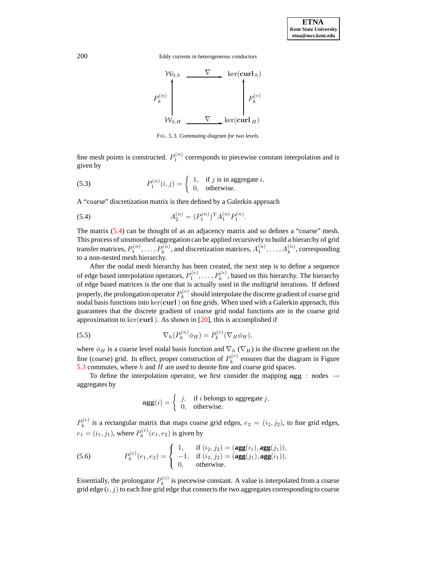

FIG. 5.3. *Commuting diagram for two levels.*

fine mesh points is constructed.  $P_1^{(n)}$  corresponds to piecewise constant interpolation and is given by

(5.3) 
$$
P_1^{(n)}(i,j) = \begin{cases} 1, & \text{if } j \text{ is in aggregate } i, \\ 0, & \text{otherwise.} \end{cases}
$$

A "coarse" discretization matrix is then defined by a Galerkin approach

<span id="page-14-0"></span>(5.4) 
$$
A_2^{(n)} = (P_1^{(n)})^{\mathrm{T}} A_1^{(n)} P_1^{(n)}.
$$

The matrix [\(5.4\)](#page-14-0) can be thought of as an adjacency matrix and so defines a "coarse" mesh. This process of unsmoothed aggregation can be applied recursively to build a hierarchy of grid transfer matrices,  $P_1^{(n)}, \ldots, P_k^{(n)}$  $h_k^{(n)}$ , and discretization matrices,  $A_1^{(n)}, \ldots, A_k^{(n)}$  $k^{(n)}$ , corresponding to a non-nested mesh hierarchy.

After the nodal mesh hierarchy has been created, the next step is to define a sequence of edge based interpolation operators,  $P_1^{(e)}, \ldots, P_k^{(e)}$  $k^{(e)}$ , based on this hierarchy. The hierarchy of edge based matrices is the one that is actually used in the multigrid iterations. If defined properly, the prolongation operator  $P_k^{(e)}$  $k<sup>(e)</sup>$  should interpolate the discrete gradient of coarse grid nodal basis functions into ker(curl) on fine grids. When used with a Galerkin approach, this guarantees that the discrete gradient of coarse grid nodal functions are in the coarse grid approximation to ker(curl). As shown in [\[20\]](#page-23-19), this is accomplished if

(5.5) 
$$
\nabla_h(P_k^{(n)}\phi_H) = P_k^{(e)}(\nabla_H\phi_H),
$$

where  $\phi_H$  is a coarse level nodal basis function and  $\nabla_h (\nabla_H)$  is the discrete gradient on the fine (coarse) grid. In effect, proper construction of  $P_k^{(e)}$  $k<sup>(e)</sup>$  ensures that the diagram in Figure [5.3](#page-22-0) commutes, where  $h$  and  $H$  are used to denote fine and coarse grid spaces.

To define the interpolation operator, we first consider the mapping  $\text{agg} : \text{nodes} \rightarrow$ aggregates by

$$
agg(i) = \begin{cases} j, & \text{if } i \text{ belongs to aggregate } j, \\ 0, & \text{otherwise.} \end{cases}
$$

 $P_k^{(e)}$  $k_k^{(e)}$  is a rectangular matrix that maps coarse grid edges,  $e_2 = (i_2, j_2)$ , to fine grid edges,  $e_1 = (i_1, j_1)$ , where  $P_k^{(e)}$  $\mathbf{R}_k^{(e)}(e_1, e_2)$  is given by

<span id="page-14-1"></span>(5.6) 
$$
P_k^{(e)}(e_1, e_2) = \begin{cases} 1, & \text{if } (i_2, j_2) = (\mathbf{agg}(i_1), \mathbf{agg}(j_1)), \\ -1, & \text{if } (i_2, j_2) = (\mathbf{agg}(j_1), \mathbf{agg}(i_1)), \\ 0, & \text{otherwise.} \end{cases}
$$

Essentially, the prolongator  $P_k^{(e)}$  $\kappa_k^{(e)}$  is piecewise constant. A value is interpolated from a coarse grid edge  $(i, j)$  to each fine grid edge that connects the two aggregates corresponding to coarse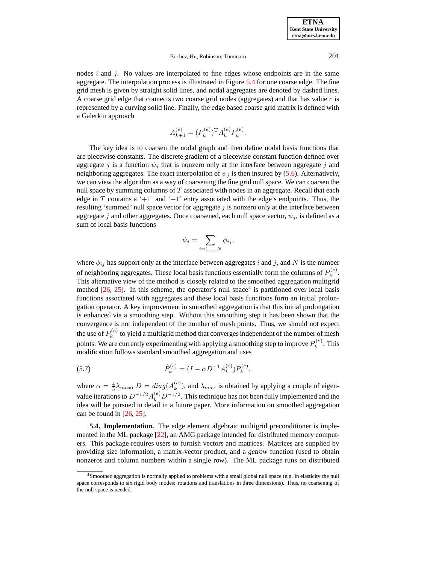nodes  $i$  and  $j$ . No values are interpolated to fine edges whose endpoints are in the same aggregate. The interpolation process is illustrated in Figure [5.4](#page-16-0) for one coarse edge. The fine grid mesh is given by straight solid lines, and nodal aggregates are denoted by dashed lines. A coarse grid edge that connects two coarse grid nodes (aggregates) and that has value  $c$  is represented by a curving solid line. Finally, the edge based coarse grid matrix is defined with a Galerkin approach

$$
A_{k+1}^{(e)} = (P_k^{(e)})^{\mathrm{T}} A_k^{(e)} P_k^{(e)}.
$$

The key idea is to coarsen the nodal graph and then define nodal basis functions that are piecewise constants. The discrete gradient of a piecewise constant function defined over aggregate j is a function  $\psi_i$  that is nonzero only at the interface between aggregate j and neighboring aggregates. The exact interpolation of  $\psi_j$  is then insured by [\(5.6\)](#page-14-1). Alternatively, we can view the algorithm as a way of coarsening the fine grid null space. We can coarsen the null space by summing columns of  $T$  associated with nodes in an aggregate. Recall that each edge in T contains a '+1' and '−1' entry associated with the edge's endpoints. Thus, the resulting 'summed' null space vector for aggregate  $j$  is nonzero only at the interface between aggregate j and other aggregates. Once coarsened, each null space vector,  $\psi_j$ , is defined as a sum of local basis functions

$$
\psi_j = \sum_{i=1,\dots,N} \phi_{ij},
$$

where  $\phi_{ij}$  has support only at the interface between aggregates i and j, and N is the number of neighboring aggregates. These local basis functions essentially form the columns of  $P_k^{(e)}$  $k^{(e)}$ . This alternative view of the method is closely related to the smoothed aggregation multigrid method  $[26, 25]$  $[26, 25]$  $[26, 25]$ . In this scheme, the operator's null space<sup>[4](#page-15-1)</sup> is partitioned over local basis functions associated with aggregates and these local basis functions form an initial prolongation operator. A key improvement in smoothed aggregation is that this initial prolongation is enhanced via a smoothing step. Without this smoothing step it has been shown that the convergence is not independent of the number of mesh points. Thus, we should not expect the use of  $P_k^{(e)}$  $k_k^{(e)}$  to yield a multigrid method that converges independent of the number of mesh points. We are currently experimenting with applying a smoothing step to improve  $P_k^{(e)}$  $\int_k^{(e)}$ . This modification follows standard smoothed aggregation and uses

<span id="page-15-2"></span>(5.7) 
$$
\tilde{P}_k^{(e)} = (I - \alpha D^{-1} A_k^{(e)}) P_k^{(e)},
$$

where  $\alpha = \frac{4}{3} \lambda_{max}$ ,  $D = diag(A_k^{(e)})$  $\kappa^{(e)}$ ), and  $\lambda_{max}$  is obtained by applying a couple of eigenvalue iterations to  $D^{-1/2} A_k^{(e)} D^{-1/2}$ . This technique has not been fully implemented and the idea will be pursued in detail in a future paper. More information on smoothed aggregation can be found in  $[26, 25]$  $[26, 25]$  $[26, 25]$ .

<span id="page-15-0"></span>**5.4. Implementation.** The edge element algebraic multigrid preconditioner is implemented in the ML package [\[22\]](#page-23-24), an AMG package intended for distributed memory computers. This package requires users to furnish vectors and matrices. Matrices are supplied by providing size information, a matrix-vector product, and a *getrow* function (used to obtain nonzeros and column numbers within a single row). The ML package runs on distributed

<span id="page-15-1"></span><sup>4</sup>Smoothed aggregation is normally applied to problems with a small global null space (e.g. in elasticity the null space corresponds to six rigid body modes: rotations and translations in three dimensions). Thus, no coarsening of the null space is needed.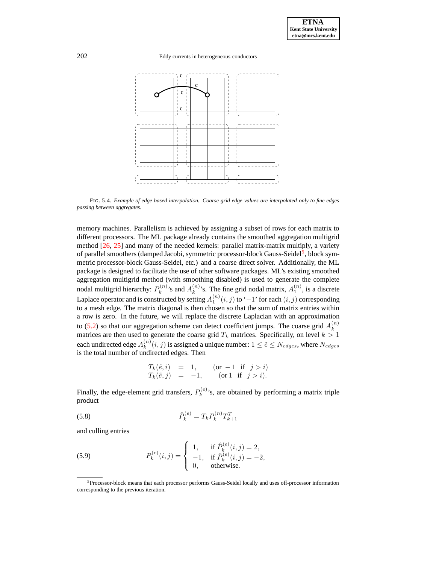

<span id="page-16-0"></span>FIG. 5.4. *Example of edge based interpolation. Coarse grid edge values are interpolated only to fine edges passing between aggregates.*

memory machines. Parallelism is achieved by assigning a subset of rows for each matrix to different processors. The ML package already contains the smoothed aggregation multigrid method [\[26,](#page-24-3) [25\]](#page-23-22) and many of the needed kernels: parallel matrix-matrix multiply, a variety of parallel smoothers (damped Jacobi, symmetric processor-block Gauss-Seidel<sup>[5](#page-16-1)</sup>, block symmetric processor-block Gauss-Seidel, etc.) and a coarse direct solver. Additionally, the ML package is designed to facilitate the use of other software packages. ML's existing smoothed aggregation multigrid method (with smoothing disabled) is used to generate the complete nodal multigrid hierarchy:  $P_k^{(n)}$  $A_k^{(n)}$ 's and  $A_k^{(n)}$  $\binom{n}{k}$ 's. The fine grid nodal matrix,  $A_1^{(n)}$ , is a discrete Laplace operator and is constructed by setting  $A_1^{(n)}(i,j)$  to '−1' for each  $(i,j)$  corresponding to a mesh edge. The matrix diagonal is then chosen so that the sum of matrix entries within a row is zero. In the future, we will replace the discrete Laplacian with an approximation to [\(5.2\)](#page-13-1) so that our aggregation scheme can detect coefficient jumps. The coarse grid  $A_k^{(n)}$ matrices are then used to generate the coarse grid  $T_k$  matrices. Specifically, on level  $k > 1$ each undirected edge  $A_k^{(n)}$  $k^{(n)}(i, j)$  is assigned a unique number:  $1 \leq \tilde{e} \leq N_{edges}$ , where  $N_{edges}$ is the total number of undirected edges. Then

$$
T_k(\tilde{e}, i) = 1, \t (or -1 if j > i)T_k(\tilde{e}, j) = -1, \t (or 1 if j > i).
$$

Finally, the edge-element grid transfers,  $P_k^{(e)}$  $k_k^{(e)}$ 's, are obtained by performing a matrix triple product

(5.8) 
$$
\hat{P}_k^{(e)} = T_k P_k^{(n)} T_{k+1}^T
$$

and culling entries

(5.9) 
$$
P_k^{(e)}(i,j) = \begin{cases} 1, & \text{if } \hat{P}_k^{(e)}(i,j) = 2, \\ -1, & \text{if } \hat{P}_k^{(e)}(i,j) = -2, \\ 0, & \text{otherwise.} \end{cases}
$$

<span id="page-16-1"></span><sup>5</sup>Processor-block means that each processor performs Gauss-Seidel locally and uses off-processor information corresponding to the previous iteration.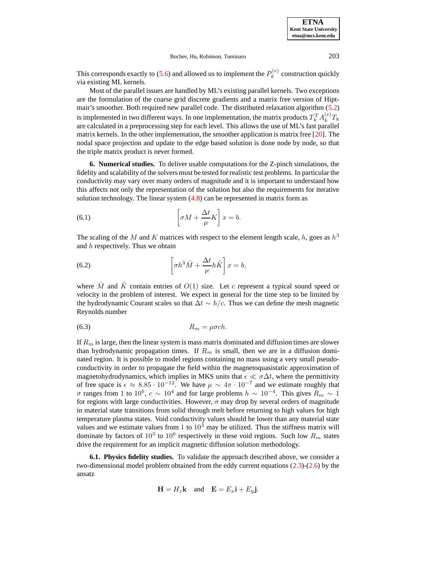**ETNA Kent State University etna@mcs.kent.edu**

#### Bochev, Hu, Robinson, Tuminaro 203

This corresponds exactly to [\(5.6\)](#page-14-1) and allowed us to implement the  $P_k^{(e)}$  $k^{(e)}$  construction quickly via existing ML kernels.

Most of the parallel issues are handled by ML's existing parallel kernels. Two exceptions are the formulation of the coarse grid discrete gradients and a matrix free version of Hiptmair's smoother. Both required new parallel code. The distributed relaxation algorithm [\(5.2\)](#page-19-1) is implemented in two different ways. In one implementation, the matrix products  $T_k^T A_k^{(e)}$  $k^{(e)}T_k$ are calculated in a preprocessing step for each level. This allows the use of ML's fast parallel matrix kernels. In the other implementation, the smoother application is matrix free [\[20\]](#page-23-19). The nodal space projection and update to the edge based solution is done node by node, so that the triple matrix product is never formed.

<span id="page-17-0"></span>**6. Numerical studies.** To deliver usable computations for the Z-pinch simulations, the fidelity and scalability of the solvers must be tested for realistic test problems. In particular the conductivity may vary over many orders of magnitude and it is important to understand how this affects not only the representation of the solution but also the requirements for iterative solution technology. The linear system [\(4.8\)](#page-10-1) can be represented in matrix form as

<span id="page-17-1"></span>(6.1) 
$$
\left[\sigma M + \frac{\Delta t}{\mu} K\right] x = b.
$$

The scaling of the M and K matrices with respect to the element length scale, h, goes as  $h^3$ and  $h$  respectively. Thus we obtain

(6.2) 
$$
\left[\sigma h^3 \hat{M} + \frac{\Delta t}{\mu} h \hat{K}\right] x = b,
$$

where  $\tilde{M}$  and  $\tilde{K}$  contain entries of  $O(1)$  size. Let c represent a typical sound speed or velocity in the problem of interest. We expect in general for the time step to be limited by the hydrodynamic Courant scales so that  $\Delta t \sim h/c$ . Thus we can define the mesh magnetic Reynolds number

$$
(6.3) \t\t R_m = \mu \sigma ch.
$$

If  $R<sub>m</sub>$  is large, then the linear system is mass matrix dominated and diffusion times are slower than hydrodynamic propagation times. If  $R_m$  is small, then we are in a diffusion dominated region. It is possible to model regions containing no mass using a very small pseudoconductivity in order to propagate the field within the magnetoquasistatic approximation of magnetohydrodynamics, which implies in MKS units that  $\epsilon \ll \sigma \Delta t$ , where the permittivity of free space is  $\epsilon \approx 8.85 \cdot 10^{-12}$ . We have  $\mu \sim 4\pi \cdot 10^{-7}$  and we estimate roughly that σ ranges from 1 to 10<sup>6</sup>,  $c \sim 10^4$  and for large problems  $h \sim 10^{-4}$ . This gives  $R_m \sim 1$ for regions with large conductivities. However,  $\sigma$  may drop by several orders of magnitude in material state transitions from solid through melt before returning to high values for high temperature plasma states. Void conductivity values should be lower than any material state values and we estimate values from 1 to  $10<sup>3</sup>$  may be utilized. Thus the stiffness matrix will dominate by factors of  $10^3$  to  $10^6$  respectively in these void regions. Such low  $R_m$  states drive the requirement for an implicit magnetic diffusion solution methodology.

**6.1. Physics fidelity studies.** To validate the approach described above, we consider a two-dimensional model problem obtained from the eddy current equations [\(2.3\)](#page-1-0)-[\(2.6\)](#page-1-0) by the ansatz

$$
\mathbf{H} = H_z \mathbf{k} \quad \text{and} \quad \mathbf{E} = E_x \mathbf{i} + E_y \mathbf{j}.
$$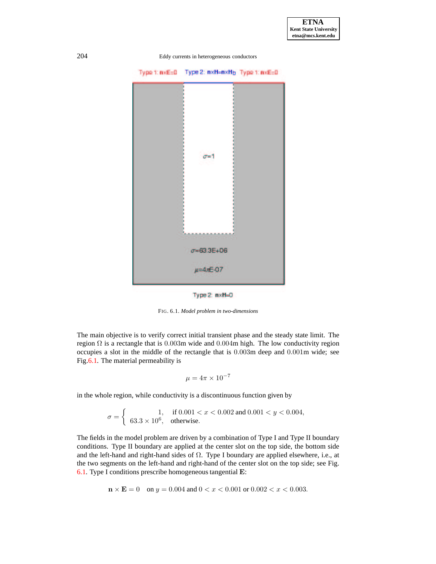

<span id="page-18-0"></span>FIG. 6.1. *Model problem in two-dimensions*

The main objective is to verify correct initial transient phase and the steady state limit. The region  $\Omega$  is a rectangle that is 0.003m wide and 0.004m high. The low conductivity region occupies a slot in the middle of the rectangle that is 0.003m deep and 0.001m wide; see Fig[.6.1.](#page-18-0) The material permeability is

$$
\mu = 4\pi \times 10^{-7}
$$

in the whole region, while conductivity is a discontinuous function given by

$$
\sigma = \begin{cases}\n1, & \text{if } 0.001 < x < 0.002 \text{ and } 0.001 < y < 0.004, \\
63.3 > 10^6, & \text{otherwise.}\n\end{cases}
$$

The fields in the model problem are driven by a combination of Type I and Type II boundary conditions. Type II boundary are applied at the center slot on the top side, the bottom side and the left-hand and right-hand sides of Ω. Type I boundary are applied elsewhere, i.e., at the two segments on the left-hand and right-hand of the center slot on the top side; see Fig. [6.1.](#page-18-0) Type I conditions prescribe homogeneous tangential E:

$$
\mathbf{n} \times \mathbf{E} = 0 \quad \text{on } y = 0.004 \text{ and } 0 < x < 0.001 \text{ or } 0.002 < x < 0.003.
$$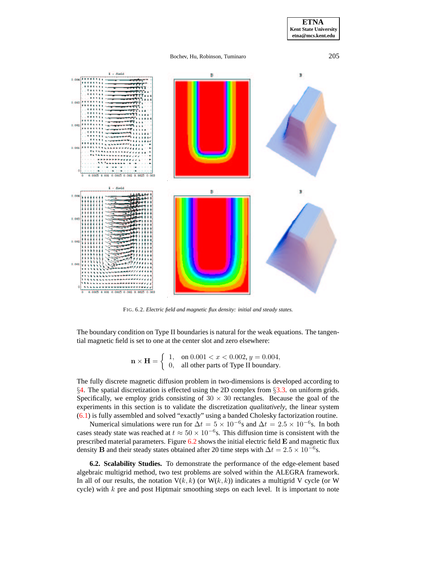



FIG. 6.2. *Electric field and magnetic flux density: initial and steady states.*

<span id="page-19-1"></span>The boundary condition on Type II boundaries is natural for the weak equations. The tangential magnetic field is set to one at the center slot and zero elsewhere:

$$
\mathbf{n} \times \mathbf{H} = \begin{cases} 1, & \text{on } 0.001 < x < 0.002, y = 0.004, \\ 0, & \text{all other parts of Type II boundary.} \end{cases}
$$

The fully discrete magnetic diffusion problem in two-dimensions is developed according to §[4.](#page-8-0) The spatial discretization is effected using the 2D complex from §[3.3.](#page-7-0) on uniform grids. Specifically, we employ grids consisting of  $30 \times 30$  rectangles. Because the goal of the experiments in this section is to validate the discretization *qualitatively*, the linear system [\(6.1\)](#page-17-1) is fully assembled and solved "exactly" using a banded Cholesky factorization routine.

Numerical simulations were run for  $\Delta t = 5 \times 10^{-6}$ s and  $\Delta t = 2.5 \times 10^{-6}$ s. In both cases steady state was reached at  $t \approx 50 \times 10^{-6}$ s. This diffusion time is consistent with the prescribed material parameters. Figure  $6.2$  shows the initial electric field  $\bf{E}$  and magnetic flux density B and their steady states obtained after 20 time steps with  $\Delta t = 2.5 \times 10^{-6}$  s.

<span id="page-19-0"></span>**6.2. Scalability Studies.** To demonstrate the performance of the edge-element based algebraic multigrid method, two test problems are solved within the ALEGRA framework. In all of our results, the notation  $V(k, k)$  (or  $W(k, k)$ ) indicates a multigrid V cycle (or W cycle) with  $k$  pre and post Hiptmair smoothing steps on each level. It is important to note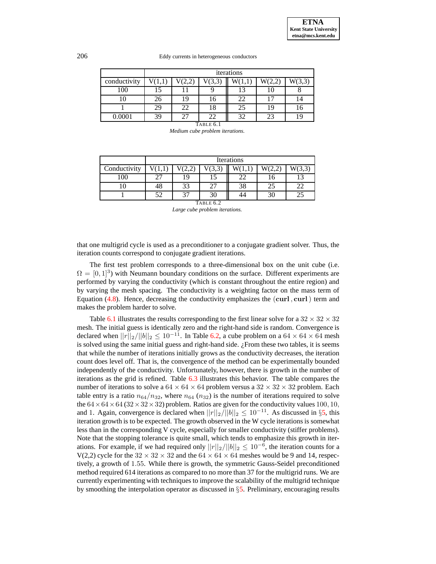|              | iterations |       |        |       |        |        |  |
|--------------|------------|-------|--------|-------|--------|--------|--|
| conductivity | V(1,1)     | (2,2) | V(3,3) | W(1,1 | W(2,2) | W(3,3) |  |
| 100          | 15         |       |        |       |        |        |  |
| 10           | 26         | 19    |        | 22    |        | 14     |  |
|              | 29         | 22    | 18     | 25    | 19     | 16     |  |
| 0.0001       | 39         |       | 22     | 32    | 23     | 19     |  |
| TABLE 6.1    |            |       |        |       |        |        |  |

*Medium cube problem iterations.*

<span id="page-20-0"></span>

|              | Iterations |            |    |    |    |            |  |  |
|--------------|------------|------------|----|----|----|------------|--|--|
| Conductivity |            | $\sqrt{2}$ |    |    |    | (3,1)      |  |  |
| 100          | 27         | 19         |    |    | 16 | $\bigcirc$ |  |  |
|              | 48         | 33         |    | 38 | 25 |            |  |  |
|              | 52         | 27         | 30 |    |    |            |  |  |
| TABLE 6.2    |            |            |    |    |    |            |  |  |

<span id="page-20-1"></span>*Large cube problem iterations.*

that one multigrid cycle is used as a preconditioner to a conjugate gradient solver. Thus, the iteration counts correspond to conjugate gradient iterations.

The first test problem corresponds to a three-dimensional box on the unit cube (i.e.  $\Omega = [0, 1]^3$ ) with Neumann boundary conditions on the surface. Different experiments are performed by varying the conductivity (which is constant throughout the entire region) and by varying the mesh spacing. The conductivity is a weighting factor on the mass term of Equation  $(4.8)$ . Hence, decreasing the conductivity emphasizes the  $(curl, curl)$  term and makes the problem harder to solve.

Table [6.1](#page-20-0) illustrates the results corresponding to the first linear solve for a  $32 \times 32 \times 32$ mesh. The initial guess is identically zero and the right-hand side is random. Convergence is declared when  $||r||_2/||b||_2 \le 10^{-11}$ . In Table [6.2,](#page-20-1) a cube problem on a  $64 \times 64 \times 64$  mesh is solved using the same initial guess and right-hand side.  $i$  From these two tables, it is seems that while the number of iterations initially grows as the conductivity decreases, the iteration count does level off. That is, the convergence of the method can be experimentally bounded independently of the conductivity. Unfortunately, however, there is growth in the number of iterations as the grid is refined. Table [6.3](#page-21-0) illustrates this behavior. The table compares the number of iterations to solve a  $64 \times 64 \times 64$  problem versus a  $32 \times 32 \times 32$  problem. Each table entry is a ratio  $n_{64}/n_{32}$ , where  $n_{64}$  ( $n_{32}$ ) is the number of iterations required to solve the  $64 \times 64 \times 64$  ( $32 \times 32 \times 32$ ) problem. Ratios are given for the conductivity values 100, 10, and 1. Again, convergence is declared when  $||r||_2/||b||_2 \le 10^{-11}$ . As discussed in §[5,](#page-10-0) this iteration growth is to be expected. The growth observed in the W cycle iterations is somewhat less than in the corresponding V cycle, especially for smaller conductivity (stiffer problems). Note that the stopping tolerance is quite small, which tends to emphasize this growth in iterations. For example, if we had required only  $||r||_2/||b||_2 \le 10^{-6}$ , the iteration counts for a V(2,2) cycle for the  $32 \times 32 \times 32$  and the  $64 \times 64 \times 64$  meshes would be 9 and 14, respectively, a growth of 1.55. While there is growth, the symmetric Gauss-Seidel preconditioned method required 614 iterations as compared to no more than 37 for the multigrid runs. We are currently experimenting with techniques to improve the scalability of the multigrid technique by smoothing the interpolation operator as discussed in §[5.](#page-10-0) Preliminary, encouraging results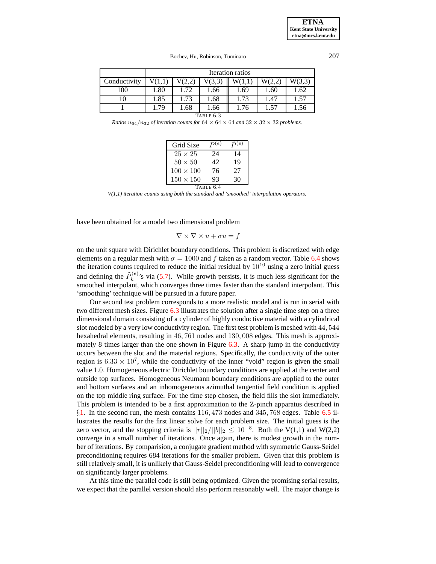|              | Iteration ratios |      |      |      |      |      |  |
|--------------|------------------|------|------|------|------|------|--|
| Conductivity | V(3,3)<br>W(3,3) |      |      |      |      |      |  |
| 100          | 1.80             | 1.72 | 1.66 | 1.69 | 1.60 | 1.62 |  |
| 10           | 1.85             | 1.73 | 1.68 | 1.73 | 1.47 | 1.57 |  |
|              | 1.79             | 1.68 | 1.66 | 1.76 | 1.57 | 1.56 |  |
| TABLE 6.3    |                  |      |      |      |      |      |  |

<span id="page-21-0"></span>*Ratios*  $n_{64}/n_{32}$  *of iteration counts for*  $64 \times 64 \times 64$  *and*  $32 \times 32 \times 32$  *problems.* 

| Grid Size        | $\bm{p}(e)$ | (e) |  |  |  |  |
|------------------|-------------|-----|--|--|--|--|
| $25 \times 25$   | 24          | 14  |  |  |  |  |
| $50 \times 50$   | 42          | 19  |  |  |  |  |
| $100 \times 100$ | 76          | 27  |  |  |  |  |
| $150 \times 150$ | 93          | 30  |  |  |  |  |
| TABLE 6.4        |             |     |  |  |  |  |

*V(1,1) iteration counts using both the standard and 'smoothed' interpolation operators.*

<span id="page-21-1"></span>have been obtained for a model two dimensional problem

$$
\nabla \times \nabla \times u + \sigma u = f
$$

on the unit square with Dirichlet boundary conditions. This problem is discretized with edge elements on a regular mesh with  $\sigma = 1000$  and f taken as a random vector. Table [6.4](#page-21-1) shows the iteration counts required to reduce the initial residual by  $10^{10}$  using a zero initial guess and defining the  $\tilde{P}_k^{(e)}$  $k_k^{(e)}$ 's via [\(5.7\)](#page-15-2). While growth persists, it is much less significant for the smoothed interpolant, which converges three times faster than the standard interpolant. This 'smoothing' technique will be pursued in a future paper.

Our second test problem corresponds to a more realistic model and is run in serial with two different mesh sizes. Figure [6.3](#page-22-0) illustrates the solution after a single time step on a three dimensional domain consisting of a cylinder of highly conductive material with a cylindrical slot modeled by a very low conductivity region. The first test problem is meshed with 44, 544 hexahedral elements, resulting in 46, 761 nodes and 130, 008 edges. This mesh is approxi-mately 8 times larger than the one shown in Figure [6.3.](#page-22-0) A sharp jump in the conductivity occurs between the slot and the material regions. Specifically, the conductivity of the outer region is  $6.33 \times 10^7$ , while the conductivity of the inner "void" region is given the small value 1.0. Homogeneous electric Dirichlet boundary conditions are applied at the center and outside top surfaces. Homogeneous Neumann boundary conditions are applied to the outer and bottom surfaces and an inhomogeneous azimuthal tangential field condition is applied on the top middle ring surface. For the time step chosen, the field fills the slot immediately. This problem is intended to be a first approximation to the Z-pinch apparatus described in  $\S1$ . In the second run, the mesh contains 116, 473 nodes and 345, 768 edges. Table [6.5](#page-22-1) illustrates the results for the first linear solve for each problem size. The initial guess is the zero vector, and the stopping criteria is  $||r||_2/||b||_2 \leq 10^{-8}$ . Both the V(1,1) and W(2,2) converge in a small number of iterations. Once again, there is modest growth in the number of iterations. By comparision, a conjugate gradient method with symmetric Gauss-Seidel preconditioning requires 684 iterations for the smaller problem. Given that this problem is still relatively small, it is unlikely that Gauss-Seidel preconditioning will lead to convergence on significantly larger problems.

At this time the parallel code is still being optimized. Given the promising serial results, we expect that the parallel version should also perform reasonably well. The major change is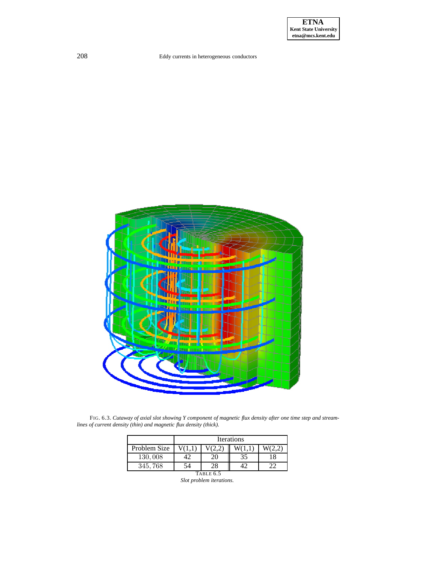

<span id="page-22-0"></span>FIG. 6.3. Cutaway of axial slot showing Y component of magnetic flux density after one time step and stream*lines of current density (thin) and magnetic flux density (thick).*

<span id="page-22-1"></span>

|              | <b>Iterations</b> |    |    |    |  |  |  |
|--------------|-------------------|----|----|----|--|--|--|
| Problem Size |                   |    |    |    |  |  |  |
| 130,008      | 12                | 20 | 35 | 18 |  |  |  |
| 345,768      | 54                | 28 |    |    |  |  |  |
| TABLE 6.5    |                   |    |    |    |  |  |  |

*Slot problem iterations.*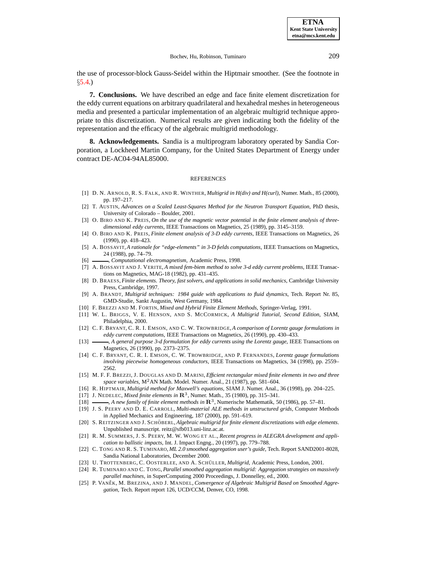the use of processor-block Gauss-Seidel within the Hiptmair smoother. (See the footnote in §[5.4.](#page-15-0))

**7. Conclusions.** We have described an edge and face finite element discretization for the eddy current equations on arbitrary quadrilateral and hexahedral meshes in heterogeneous media and presented a particular implementation of an algebraic multigrid technique appropriate to this discretization. Numerical results are given indicating both the fidelity of the representation and the efficacy of the algebraic multigrid methodology.

**8. Acknowledgements.** Sandia is a multiprogram laboratory operated by Sandia Corporation, a Lockheed Martin Company, for the United States Department of Energy under contract DE-AC04-94AL85000.

#### **REFERENCES**

- <span id="page-23-18"></span>[1] D. N. ARNOLD, R. S. FALK, AND R. WINTHER, *Multigrid in H(div) and H(curl)*, Numer. Math., 85 (2000), pp. 197–217.
- <span id="page-23-20"></span>[2] T. AUSTIN, *Advances on a Scaled Least-Squares Method for the Neutron Transport Equation*, PhD thesis, University of Colorado – Boulder, 2001.
- <span id="page-23-3"></span>[3] O. BIRO AND K. PREIS, *On the use of the magnetic vector potential in the finite element analysis of threedimensional eddy currents*, IEEE Transactions on Magnetics, 25 (1989), pp. 3145–3159.
- <span id="page-23-2"></span>[4] O. BIRO AND K. PREIS, *Finite element analysis of 3-D eddy currents*, IEEE Transactions on Magnetics, 26 (1990), pp. 418–423.
- <span id="page-23-7"></span>[5] A. BOSSAVIT,*A rationale for "edge-elements" in 3-D fields computations*, IEEE Transactions on Magnetics, 24 (1988), pp. 74–79.
- <span id="page-23-14"></span><span id="page-23-8"></span>[6] , *Computational electromagnetism*, Academic Press, 1998.
- [7] A. BOSSAVIT AND J. VERITE, *A mixed fem-biem method to solve 3-d eddy current problems*, IEEE Transactions on Magnetics, MAG-18 (1982), pp. 431–435.
- <span id="page-23-13"></span>[8] D. BRAESS, *Finite elements. Theory, fast solvers, and applications in solid mechanics*, Cambridge University Press, Cambridge, 1997.
- <span id="page-23-21"></span>[9] A. BRANDT, *Multigrid techniques: 1984 guide with applications to fluid dynamics*, Tech. Report Nr. 85, GMD-Studie, Sankt Augustin, West Germany, 1984.
- <span id="page-23-15"></span><span id="page-23-9"></span>[10] F. BREZZI AND M. FORTIN, *Mixed and Hybrid Finite Element Methods*, Springer-Verlag, 1991.
- [11] W. L. BRIGGS, V. E. HENSON, AND S. MCCORMICK, *A Multigrid Tutorial, Second Edition*, SIAM, Philadelphia, 2000.
- <span id="page-23-6"></span><span id="page-23-5"></span>[12] C. F. BRYANT, C. R. I. EMSON, AND C. W. TROWBRIDGE, *A comparison of Lorentz gauge formulations in eddy current computations*, IEEE Transactions on Magnetics, 26 (1990), pp. 430–433.
- [13] , *A general purpose 3-d formulation for eddy currents using the Lorentz gauge*, IEEE Transactions on Magnetics, 26 (1990), pp. 2373–2375.
- <span id="page-23-4"></span>[14] C. F. BRYANT, C. R. I. EMSON, C. W. TROWBRIDGE, AND P. FERNANDES, *Lorentz gauge formulations involving piecewise homogeneous conductors*, IEEE Transactions on Magnetics, 34 (1998), pp. 2559– 2562.
- <span id="page-23-10"></span>[15] M. F. F. BREZZI, J. DOUGLAS AND D. MARINI, *Efficient rectangular mixed finite elements in two and three space variables*, M2AN Math. Model. Numer. Anal., 21 (1987), pp. 581–604.
- <span id="page-23-17"></span><span id="page-23-11"></span>[16] R. HIPTMAIR, *Multigrid method for Maxwell's equations*, SIAM J. Numer. Anal., 36 (1998), pp. 204–225.
- [17] J. NEDELEC, *Mixed finite elements* in  $\mathbb{R}^3$ , Numer. Math., 35 (1980), pp. 315–341.
- <span id="page-23-12"></span><span id="page-23-1"></span>[18]  $\_\_\_\_\_\_\_\_\_\_\_\_\_\_\.\_\_\_\_\_\.\_\_\_\_\.\_\_\_\.\_\_\_\.\_$
- [19] J. S. PEERY AND D. E. CARROLL, *Multi-material ALE methods in unstructured grids*, Computer Methods in Applied Mechanics and Engineering, 187 (2000), pp. 591–619.
- <span id="page-23-19"></span><span id="page-23-0"></span>[20] S. REITZINGER AND J. SCHO¨ BERL, *Algebraic multigrid for finite element discretizations with edge elements*. Unpublished manuscript. reitz@sfb013.uni-linz.ac.at.
- [21] R. M. SUMMERS, J. S. PEERY, M. W. WONG ET AL., *Recent progress in ALEGRA development and application to ballistic impacts*, Int. J. Impact Engng., 20 (1997), pp. 779–788.
- <span id="page-23-24"></span>[22] C. TONG AND R. S. TUMINARO, *ML 2.0 smoothed aggregation user's guide*, Tech. Report SAND2001-8028, Sandia National Laboratories, December 2000.
- <span id="page-23-23"></span><span id="page-23-16"></span>[23] U. TROTTENBERG, C. OOSTERLEE, AND A. SCHÜLLER, *Multigrid*, Academic Press, London, 2001.
- [24] R. TUMINARO AND C. TONG, *Parallel smoothed aggregation multigrid: Aggregation strategies on massively parallel machines*, in SuperComputing 2000 Proceedings, J. Donnelley, ed., 2000.
- <span id="page-23-22"></span>[25] P. VANĚK, M. BREZINA, AND J. MANDEL, *Convergence of Algebraic Multigrid Based on Smoothed Aggregation*, Tech. Report report 126, UCD/CCM, Denver, CO, 1998.